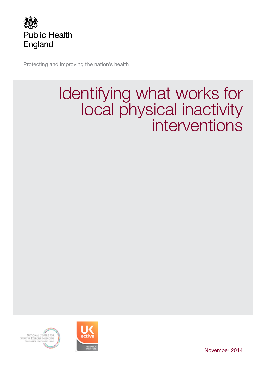

Protecting and improving the nation's health

# Identifying what works for local physical inactivity interventions



NATIONAL CENTRE FOR<br>Sport & Exercise Medicine **NORGING FOR FIEALTH & WELLBER** 

November 2014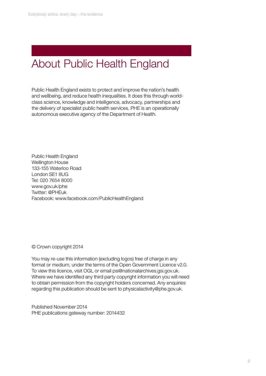# About Public Health England

Public Health England exists to protect and improve the nation's health and wellbeing, and reduce health inequalities. It does this through worldclass science, knowledge and intelligence, advocacy, partnerships and the delivery of specialist public health services. PHE is an operationally autonomous executive agency of the Department of Health.

Public Health England Wellington House 133-155 Waterloo Road London SE1 8UG Tel: 020 7654 8000 www.gov.uk/phe Twitter: @PHEuk Facebook: www.facebook.com/PublicHealthEngland

© Crown copyright 2014

You may re-use this information (excluding logos) free of charge in any format or medium, under the terms of the Open Government Licence v2.0. To view this licence, visit OGL or email psi@nationalarchives.gsi.gov.uk. Where we have identified any third party copyright information you will need to obtain permission from the copyright holders concerned. Any enquiries regarding this publication should be sent to physicalactivity@phe.gov.uk.

Published November 2014 PHE publications gateway number: 2014432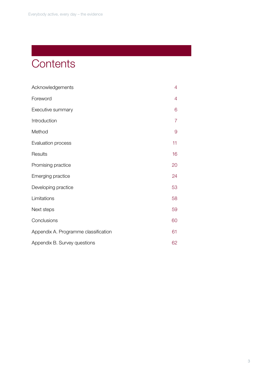# **Contents**

| Acknowledgements                     | 4  |
|--------------------------------------|----|
| Foreword                             | 4  |
| Executive summary                    | 6  |
| Introduction                         | 7  |
| Method                               | 9  |
| Evaluation process                   | 11 |
| Results                              | 16 |
| Promising practice                   | 20 |
| Emerging practice                    | 24 |
| Developing practice                  | 53 |
| Limitations                          | 58 |
| Next steps                           | 59 |
| Conclusions                          | 60 |
| Appendix A. Programme classification | 61 |
| Appendix B. Survey questions         | 62 |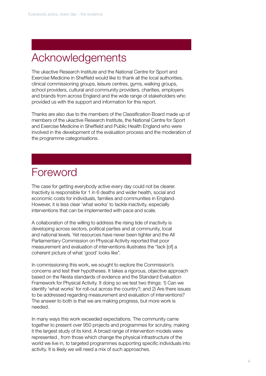# Acknowledgements

The ukactive Research Institute and the National Centre for Sport and Exercise Medicine in Sheffield would like to thank all the local authorities, clinical commissioning groups, leisure centres, gyms, walking groups, school providers, cultural and community providers, charities, employers and brands from across England and the wide range of stakeholders who provided us with the support and information for this report.

Thanks are also due to the members of the Classification Board made up of members of the ukactive Research Institute, the National Centre for Sport and Exercise Medicine in Sheffield and Public Health England who were involved in the development of the evaluation process and the moderation of the programme categorisations.

# Foreword

The case for getting everybody active every day could not be clearer. Inactivity is responsible for 1 in 6 deaths and wider health, social and economic costs for individuals, families and communities in England. However, it is less clear 'what works' to tackle inactivity, especially interventions that can be implemented with pace and scale.

A collaboration of the willing to address the rising tide of inactivity is developing across sectors, political parties and at community, local and national levels. Yet resources have never been tighter and the All Parliamentary Commission on Physical Activity reported that poor measurement and evaluation of interventions illustrates the "lack [of] a coherent picture of what 'good' looks like".

In commissioning this work, we sought to explore the Commission's concerns and test their hypotheses. It takes a rigorous, objective approach based on the Nesta standards of evidence and the Standard Evaluation Framework for Physical Activity. It doing so we test two things: 1) Can we identify 'what works' for roll-out across the country?; and 2) Are there issues to be addressed regarding measurement and evaluation of interventions? The answer to both is that we are making progress, but more work is needed.

In many ways this work exceeded expectations. The community came together to present over 950 projects and programmes for scrutiny, making it the largest study of its kind. A broad range of intervention models were represented , from those which change the physical infrastructure of the world we live in, to targeted programmes supporting specific individuals into activity. It is likely we will need a mix of such approaches.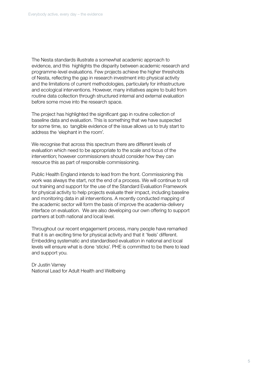The Nesta standards illustrate a somewhat academic approach to evidence, and this highlights the disparity between academic research and programme-level evaluations. Few projects achieve the higher thresholds of Nesta, reflecting the gap in research investment into physical activity and the limitations of current methodologies, particularly for infrastructure and ecological interventions. However, many initiatives aspire to build from routine data collection through structured internal and external evaluation before some move into the research space.

The project has highlighted the significant gap in routine collection of baseline data and evaluation. This is something that we have suspected for some time, so tangible evidence of the issue allows us to truly start to address the 'elephant in the room'.

We recognise that across this spectrum there are different levels of evaluation which need to be appropriate to the scale and focus of the intervention; however commissioners should consider how they can resource this as part of responsible commissioning.

Public Health England intends to lead from the front. Commissioning this work was always the start, not the end of a process. We will continue to roll out training and support for the use of the Standard Evaluation Framework for physical activity to help projects evaluate their impact, including baseline and monitoring data in all interventions. A recently conducted mapping of the academic sector will form the basis of improve the academia-delivery interface on evaluation. We are also developing our own offering to support partners at both national and local level.

Throughout our recent engagement process, many people have remarked that it is an exciting time for physical activity and that it 'feels' different. Embedding systematic and standardised evaluation in national and local levels will ensure what is done 'sticks'. PHE is committed to be there to lead and support you.

Dr Justin Varney National Lead for Adult Health and Wellbeing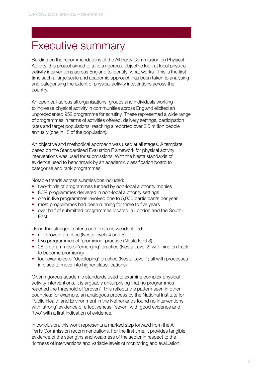# Executive summary

Building on the recommendations of the All Party Commission on Physical Activity, this project aimed to take a rigorous, objective look at local physical activity interventions across England to identify 'what works'. This is the first time such a large scale and academic approach has been taken to analysing and categorising the extent of physical activity inteventions across the country.

An open call across all organisations, groups and individuals working to increase physical activity in communities across England elicited an unprecedented 952 programme for scrutiny. These represented a wide range of programmes in terms of activities offered, delivery settings, participation rates and target populations, reaching a reported over 3.5 million people annually (one in 15 of the population).

An objective and methodical approach was used at all stages. A template based on the Standardised Evaluation Framework for physical activity interventions was used for submissions. With the Nesta standards of evidence used to benchmark by an academic classification board to categorise and rank programmes.

Notable trends across submissions included:

- two-thirds of programmes funded by non-local authority monies
- 80% programmes delivered in non-local authority settings
- one in five programmes involved one to 5,000 participants per year
- most programmes had been running for three to five years
- over half of submitted programmes located in London and the South-East

Using this stringent criteria and process we identified:

- no 'proven' practice (Nesta levels 4 and 5)
- two programmes of 'promising' practice (Nesta level 3)
- 28 programmes of 'emerging' practice (Nesta Level 2; with nine on track to become promising)
- four examples of 'developing' practice (Nesta Level 1; all with processes in place to move into higher classifications)

Given rigorous academic standards used to examine complex physical activity interventions, it is arguably unsurprising that no programmes reached the threshold of 'proven'. This reflects the pattern seen in other countries; for example, an analogous process by the National Institute for Public Health and Environment in the Netherlands found no interventions with 'strong' evidence of effectiveness, 'seven' with good evidence and 'two' with a first indication of evidence.

In conclusion, this work represents a marked step forward from the All Party Commission recommendations. For the first time, it provides tangible evidence of the strengths and weakness of the sector in respect to the richness of interventions and variable levels of monitoring and evaluation.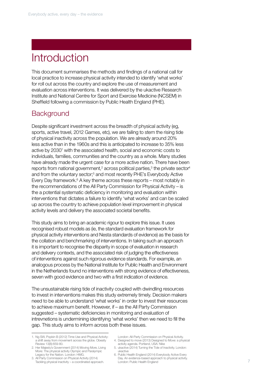# Introduction

This document summarises the methods and findings of a national call for local practice to increase physical activity intended to identify 'what works' for roll out across the country and explore the use of measurement and evaluation across interventions. It was delivered by the ukactive Research Institute and National Centre for Sport and Exercise Medicine (NCSEM) in Sheffield following a commission by Public Health England (PHE).

# **Background**

Despite significant investment across the breadth of physical activity (eg, sports, active travel, 2012 Games, etc), we are failing to stem the rising tide of physical inactivity across the population. We are already around 20% less active than in the 1960s and this is anticipated to increase to 35% less active by 2030<sup>1</sup> with the associated health, social and economic costs to individuals, families, communities and the country as a whole. Many studies have already made the urgent case for a more active nation. There have been reports from national government,<sup>2</sup> across political parties,<sup>3</sup> the private sector<sup>4</sup> and from the voluntary sector;<sup>5</sup> and most recently PHE's Everybody Active Every Day framework.<sup>6</sup> A key theme across these reports – most notably in the recommendations of the All Party Commission for Physical Activity – is the a potential systematic deficiency in monitoring and evaluation within interventions that dictates a failure to identify 'what works' and can be scaled up across the country to achieve population level improvement in physical activity levels and delivery the associated societal benefits.

This study aims to bring an academic rigour to explore this issue. It uses recognised robust models as (ie, the standard evaluation framework for physical activity interventions and Nesta standards of evidence) as the basis for the collation and benchmarking of interventions. In taking such an approach it is important to recognise the disparity in scope of evaluation in research and delivery contexts, and the associated risk of judging the effectiveness of interventions against such rigorous evidence standards. For example, an analogous process by the National Institute for Public Health and Environment in the Netherlands found no interventions with strong evidence of effectiveness, seven with good evidence and two with a first indication of evidence.

The unsustainable rising tide of inactivity coupled with dwindling resources to invest in interventions makes this study extremely timely. Decision makers need to be able to understand 'what works' in order to invest their resources to achieve maximum benefit. However, if – as the All Party Commission suggested – systematic deficiencies in monitoring and evaluation of intrevnetions is undermining identifying 'what works' then we need to fill the gap. This study aims to inform across both these issues.

- 1. Ng SW, Popkin B (2012) Time Use and Physical Activity: a shift away from movement across the globe. Obesity Review 13(8):659-80.
- 2. Her Majesty's Government (2014) Moving More, Living More: The physical activity Olympic and Paralympic Legacy for the Nation. London: HMG.
- 3. All Party Commission on Physical Activity (2014) Tackling physical inactivity – a coordinated approach.
- London: All-Party Commission on Physical Activity.
- 4. Designed to move (2013) Designed to Move: a physical activity agenda. Portland, USA: Nike
- 5. ukactive (2014) Turning the Tide of Inactivity. London: ukactive
- 6. Public Health England (2014) Everybody Active Every Day. An evidence-based approach to physical activity. London: Public Health England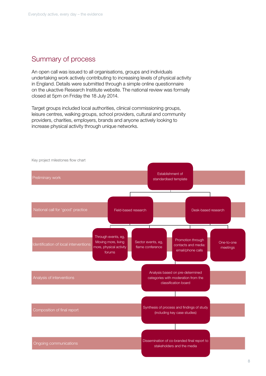# Summary of process

An open call was issued to all organisations, groups and individuals undertaking work actively contributing to increasing levels of physical activity in England. Details were submitted through a simple online questionnaire on the ukactive Research Institute website. The national review was formally closed at 5pm on Friday the 18 July 2014.

Target groups included local authorities, clinical commissioning groups, leisure centres, walking groups, school providers, cultural and community providers, charities, employers, brands and anyone actively looking to increase physical activity through unique networks.



8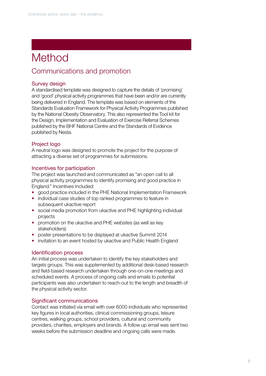# Method

# Communications and promotion

## Survey design

A standardised template was designed to capture the details of 'promising' and 'good' physical activity programmes that have been and/or are currently being delivered in England. The template was based on elements of the Standards Evaluation Framework for Physical Activity Programmes published by the National Obesity Observatory. This also represented the Tool kit for the Design, Implementation and Evaluation of Exercise Referral Schemes published by the BHF National Centre and the Standards of Evidence published by Nesta.

## Project logo

A neutral logo was designed to promote the project for the purpose of attracting a diverse set of programmes for submissions.

## Incentives for participation

The project was launched and communicated as "an open call to all physical activity programmes to identify promising and good practice in England." Incentives included:

- good practice included in the PHE National Implementation Framework
- individual case studies of top ranked programmes to feature in subsequent ukactive report
- social media promotion from ukactive and PHE highlighting individual projects
- promotion on the ukactive and PHE websites (as well as key stakeholders)
- poster presentations to be displayed at ukactive Summit 2014
- invitation to an event hosted by ukactive and Public Health England

## Identification process

An initial process was undertaken to identify the key stakeholders and targets groups. This was supplemented by additional desk-based research and field-based research undertaken through one-on-one meetings and scheduled events. A process of ongoing calls and emails to potential participants was also undertaken to reach-out to the length and breadth of the physical activity sector.

## Significant communications

Contact was initiated via email with over 6000 individuals who represented key figures in local authorities, clinical commissioning groups, leisure centres, walking groups, school providers, cultural and community providers, charities, employers and brands. A follow up email was sent two weeks before the submission deadline and ongoing calls were made.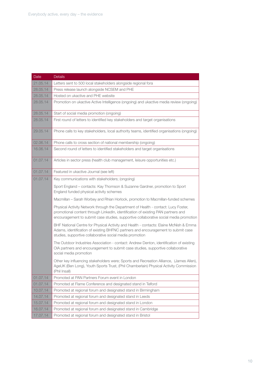| Date     | <b>Details</b>                                                                                                                                                                                                                                                   |
|----------|------------------------------------------------------------------------------------------------------------------------------------------------------------------------------------------------------------------------------------------------------------------|
| 21.05.14 | Letters sent to 500 local stakeholders alongside regional fora                                                                                                                                                                                                   |
| 28.05.14 | Press release launch alongside NCSEM and PHE                                                                                                                                                                                                                     |
| 28.05.14 | Hosted on ukactive and PHE website                                                                                                                                                                                                                               |
| 28.05.14 | Promotion on ukactive Active Intelligence (ongoing) and ukactive media review (ongoing)                                                                                                                                                                          |
| 28.05.14 | Start of social media promotion (ongoing)                                                                                                                                                                                                                        |
| 28.05.14 | First round of letters to identified key stakeholders and target organisations                                                                                                                                                                                   |
| 29.05.14 | Phone calls to key stakeholders, local authority teams, identified organisations (ongoing)                                                                                                                                                                       |
| 02.06.14 | Phone calls to cross section of national membership (ongoing)                                                                                                                                                                                                    |
| 16.06.14 | Second round of letters to identified stakeholders and target organisations                                                                                                                                                                                      |
| 01.07.14 | Articles in sector press (health club management, leisure opportunities etc.)                                                                                                                                                                                    |
| 01.07.14 | Featured in ukactive Journal (see left)                                                                                                                                                                                                                          |
| 01.07.14 | Key communications with stakeholders; (ongoing)                                                                                                                                                                                                                  |
|          | Sport England - contacts: Kay Thomson & Suzanne Gardner, promotion to Sport<br>England funded physical activity schemes                                                                                                                                          |
|          | Macmillan – Sarah Worbey and Rhian Horlock, promotion to Macmillan-funded schemes                                                                                                                                                                                |
|          | Physical Activity Network through the Department of Health - contact: Lucy Foster,<br>promotional content through LinkedIn, identification of existing PAN partners and<br>encouragement to submit case studies, supportive collaborative social media promotion |
|          | BHF National Centre for Physical Activity and Health - contacts: Elaine McNish & Emma<br>Adams, identification of existing BHFNC partners and encouragement to submit case<br>studies, supportive collaborative social media promotion                           |
|          | The Outdoor Industries Association - contact: Andrew Denton, identification of existing<br>OIA partners and encouragement to submit case studies, supportive collaborative<br>social media promotion                                                             |
|          | Other key influencing stakeholders were; Sports and Recreation Alliance, (James Allen),<br>AgeUK (Ben Long), Youth Sports Trust, (Phil Chamberlain) Physical Activity Commission<br>(Phil Insall)                                                                |
| 01.07.14 | Promoted at PAN Partners Forum event in London                                                                                                                                                                                                                   |
| 01.07.14 | Promoted at Flame Conference and designated stand in Telford                                                                                                                                                                                                     |
| 10.07.14 | Promoted at regional forum and designated stand in Birmingham                                                                                                                                                                                                    |
| 14.07.14 | Promoted at regional forum and designated stand in Leeds                                                                                                                                                                                                         |
| 15.07.14 | Promoted at regional forum and designated stand in London                                                                                                                                                                                                        |
| 16.07.14 | Promoted at regional forum and designated stand in Cambridge                                                                                                                                                                                                     |
| 17.07.14 | Promoted at regional forum and designated stand in Bristol                                                                                                                                                                                                       |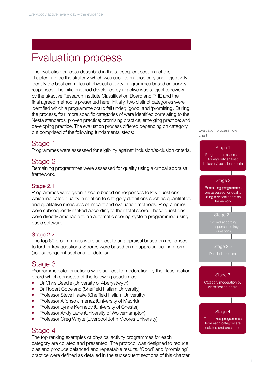# Evaluation process

The evaluation process described in the subsequent sections of this chapter provide the strategy which was used to methodically and objectively identify the best examples of physical activity programmes based on survey responses. The initial method developed by ukactive was subject to review by the ukactive Research Institute Classification Board and PHE and the final agreed method is presented here. Initially, two distinct categories were identified which a programme could fall under; 'good' and 'promising'. During the process, four more specific categories of were identified correlating to the Nesta standards: proven practice; promising practice; emerging practice; and developing practice. The evaluation process differed depending on category but comprised of the following fundamental steps:

# Stage 1

Programmes were assessed for eligibility against inclusion/exclusion criteria.

# Stage 2

Remaining programmes were assessed for quality using a critical appraisal framework.

## Stage 2.1

Programmes were given a score based on responses to key questions which indicated quality in relation to category definitions such as quantitative and qualitative measures of impact and evaluation methods. Programmes were subsequently ranked according to their total score. These questions were directly amenable to an automatic scoring system programmed using basic software.

## Stage 2.2

The top 60 programmes were subject to an appraisal based on responses to further key questions. Scores were based on an appraisal scoring form (see subsequent sections for details).

# Stage 3

Programme categorisations were subject to moderation by the classification board which consisted of the following academics;

- Dr Chris Beedie (University of Aberystwyth)
- Dr Robert Copeland (Sheffield Hallam University)
- Professor Steve Haake (Sheffield Hallam University)
- Professor Alfonso Jimenez (University of Madrid)
- Professor Lynne Kennedy (University of Chester)
- Professor Andy Lane (University of Wolverhampton)
- Professor Greg Whyte (Liverpool John Moores University)

## Stage 4

The top ranking examples of physical activity programmes for each category are collated and presented. The protocol was designed to reduce bias and produce balanced and repeatable results. 'Good' and 'promising' practice were defined as detailed in the subsequent sections of this chapter. Evaluation process flow chart

## Stage 1

Programmes assessed for eligibility against inclusion/exclusion criteria

#### Stage 2

Remaining programmes are assessed for quality using a critical appraisal framework

## Stage 2.1

Scored according

Stage 2.2

## Stage 3

Category moderation by classification board

## Stage 4

Top ranked programmes from each category are collated and presented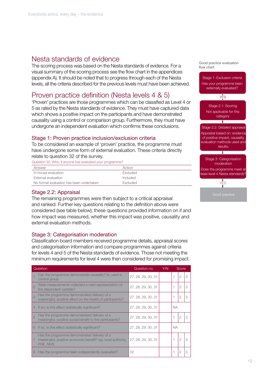# Nesta standards of evidence

The scoring process was based on the Nesta standards of evidence. For a visual summary of the scoring process see the flow chart in the appendices (appendix A). It should be noted that to progress through each of the Nesta levels, all the criteria described for the previous levels must have been achieved.

## Proven practice definition (Nesta levels 4 & 5)

'Proven' practices are those programmes which can be classified as Level 4 or 5 as rated by the Nesta standards of evidence. They must have captured data which shows a positive impact on the participants and have demonstrated causality using a control or comparison group. Furthermore, they must have undergone an independent evaluation which confirms these conclusions.

## Stage 1: Proven practice inclusion/exclusion criteria

To be considered an example of 'proven' practice, the programme must have undergone some form of external evaluation. These criteria directly relate to question 32 of the survey.

Question 32: Who, if anyone has evaluated your programme?

| Answer                                   | Action          |
|------------------------------------------|-----------------|
| In-house evaluation                      | Excluded        |
| External evaluation                      | Included        |
| No formal evaluation has been undertaken | <b>Excluded</b> |

## Stage 2.2: Appraisal

The remaining programmes were then subject to a critical appraisal and ranked. Further key questions relating to the definition above were considered (see table below); these questions provided information on if and how impact was measured, whether this impact was positive, causality and external evaluation methods.

## Stage 3: Categorisation moderation

Classification board members received programme details, appraisal scores and categorisation information and compare programmes against criteria for levels 4 and 5 of the Nesta standards of evidence. Those not meeting the minimum requirements for level 4 were then considered for promising impact.

|   | Question                                                                                                                | Question no.       | Y/N |           | Score          |  |
|---|-------------------------------------------------------------------------------------------------------------------------|--------------------|-----|-----------|----------------|--|
|   | Can the programme demonstrate causality? le, used a<br>control group                                                    | 27, 28, 29, 30, 31 |     |           | 2              |  |
|   | Were measurements collected a valid representation of<br>the dependent variable?                                        | 27, 28, 29, 30, 31 |     |           | $\overline{2}$ |  |
| 3 | Has the programme demonstrated delivery of a<br>meaningful, positive effect on the health of participants?              | 27, 28, 29, 30, 31 |     |           | 2              |  |
| 4 | If so, is this effect statistically significant?                                                                        | 27, 28, 29, 30, 31 |     | <b>NA</b> |                |  |
| 5 | Has the programme demonstrated delivery of a<br>meaningful, positive social benefit to the participants?                | 27, 28, 29, 30, 31 |     |           | 2              |  |
| 6 | If so, is this effect statistically significant?                                                                        | 27, 28, 29, 30, 31 |     | <b>NA</b> |                |  |
|   | Has the programme demonstrated delivery of a<br>meaningful, positive economic benefit? eg, local authority,<br>PHE, NHS | 27, 28, 29, 30, 31 |     |           | $\overline{2}$ |  |
| 8 | Has the programme been independently evaluated?                                                                         | 32                 |     |           | 2              |  |

Good practice evaluation flow chart

Stage 1: Exclusion criteria Has your programme been externally evaluated? YES Stage 2.1: Scoring

Not applicable for this category



Stage 3: Categorisation moderation

Does the programme meet at least level 4 Nesta standards?

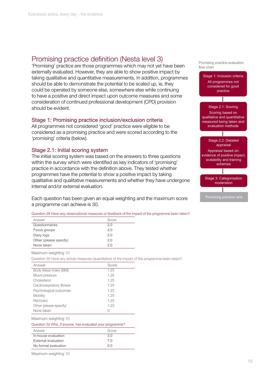# Promising practice definition (Nesta level 3)

'Promising' practice are those programmes which may not yet have been externally evaluated. However, they are able to show positive impact by taking qualitative and quantitative measurements. In addition, programmes should be able to demonstrate the potential to be scaled up, ie, they could be operated by someone else, somewhere else while continuing to have a positive and direct impact upon outcome measures and some consideration of continued professional development (CPD) provision should be evident.

## Stage 1: Promising practice inclusion/exclusion criteria

All programmes not considered 'good' practice were eligible to be considered as a promising practice and were scored according to the 'promising' criteria (below).

#### Stage 2.1: Initial scoring system

The initial scoring system was based on the answers to three questions within the survey which were identified as key indicators of 'promising' practice in accordance with the definition above. They tested whether programmes have the potential to show a positive impact by taking qualitative and qualitative measurements and whether they have undergone internal and/or external evaluation.

Each question has been given an equal weighting and the maximum score a programme can achieve is 30.

| Question 28 Have any observational measures or feedback of the impact of the programme been taken? |  |  |  |  |  |  |  |  |  |
|----------------------------------------------------------------------------------------------------|--|--|--|--|--|--|--|--|--|
|                                                                                                    |  |  |  |  |  |  |  |  |  |

| Answer                 | Score |
|------------------------|-------|
| Questionnaires         | 20    |
| Focus groups           | 20    |
| Diary logs             | 20    |
| Other (please specify) | 2.0   |
| None taken             | 2 በ   |

Maximum weighting 10

Question 30 Have any actual measures (quantitative) of the impact of the programme been taken?

| Answer                    | Score |
|---------------------------|-------|
| Body Mass Index (BMI)     | 1.25  |
| <b>Blood pressure</b>     | 1.25  |
| Cholesterol               | 1.25  |
| Cardiorespiratory fitness | 1.25  |
| Psychological outcomes    | 1.25  |
| Mobility                  | 1.25  |
| Recovery                  | 1.25  |
| Other (please specify)    | 1.25  |
| None taken                | Λ     |
| Maximum weighting 10      |       |

| Question 32 Who, if anyone, has evaluated your programme? |       |  |  |  |  |
|-----------------------------------------------------------|-------|--|--|--|--|
| Answer                                                    | Score |  |  |  |  |
| In-house evaluation                                       | 3 O   |  |  |  |  |
| External evaluation                                       | 7 N   |  |  |  |  |
| No formal evaluation                                      | 0 O   |  |  |  |  |

Maximum weighting 10



Promising practice evaluation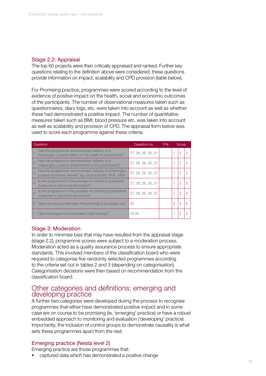## Stage 2.2: Appraisal

The top 60 projects were then critically appraised and ranked. Further key questions relating to the definition above were considered; these questions provide information on impact, scalability and CPD provision (table below).

For Promising practice, programmes were scored according to the level of evidence of positive impact on the health, social and economic outcomes of the participants. The number of observational measures taken such as questionnaires, diary logs, etc. were taken into account as well as whether these had demonstrated a positive impact. The number of quantitative measures taken such as BMI, blood pressure etc. was taken into account as well as scalability and provision of CPD. The appraisal form below was used to score each programme against these criteria.

|                | Question                                                                                                           | Question no.       | Y/N |   | Score |  |
|----------------|--------------------------------------------------------------------------------------------------------------------|--------------------|-----|---|-------|--|
|                | Has the programme demonstrated delivery of a<br>meaningful, positive effect on the health of participants?         | 27, 28, 29, 30, 31 |     |   | 2     |  |
|                | Has the programme demonstrated delivery of a<br>meaningful, positive social benefit to the participants?           | 27, 28, 29, 30, 31 |     |   | 2     |  |
| $\beta$        | Has the programme demonstrated delivery of meaningful,<br>positive economic benefit? eg, local authority, PHE, NHS | 27, 28, 29, 30, 31 |     |   | 2     |  |
| $\overline{4}$ | Is the programme in the process of collecting qualitative<br>measures to demonstrate impact?                       | 27, 28, 29, 30, 31 |     |   | 2     |  |
| 5              | Is the programme in the process of collecting quantitative<br>measures to demonstrate impact?                      | 27, 28, 29, 30, 31 |     |   | 2     |  |
| 6              | Does the programme have the potential to be scaled up?                                                             | 33                 |     | 2 | 4     |  |
|                | Has the programme considered staff training?                                                                       | 25.26              |     |   | 2     |  |

## Stage 3: Moderation

In order to minimise bias that may have resulted from the appraisal stage (stage 2.2), programme scores were subject to a moderation process. Moderation acted as a quality assurance process to ensure appropriate standards. This involved members of the classification board who were required to categorise five randomly selected programmes according to the criteria set out in tables 2 and 3 (depending on categorisation). Categorisation decisions were then based on recommendation from the classification board.

## Other categories and definitions: emerging and developing practice

A further two categories were developed during the process to recognise programmes that either have demonstrated positive impact and in some case are on course to be promising (ie, 'emerging' practice) or have a robust embedded approach to monitoring and evaluation ('developing' practice). Importantly, the inclusion of control groups to demonstrate causality is what sets these programmes apart from the rest.

## Emerging practice (Nesta level 2)

Emerging practice are those programmes that:

• captured data which has demonstrated a positive change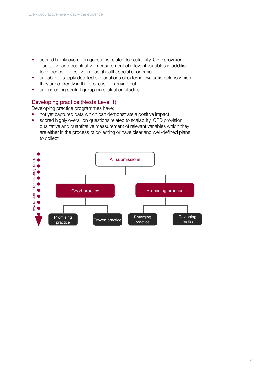- scored highly overall on questions related to scalability, CPD provision, qualitative and quantitative measurement of relevant variables in addition to evidence of positive impact (health, social economic)
- are able to supply detailed explanations of external evaluation plans which they are currently in the process of carrying out
- are including control groups in evaluation studies

## Developing practice (Nesta Level 1)

Developing practice programmes have:

- not yet captured data which can demonstrate a positive impact
- scored highly overall on questions related to scalability, CPD provision, qualitative and quantitative measurement of relevant variables which they are either in the process of collecting or have clear and well-defined plans to collect

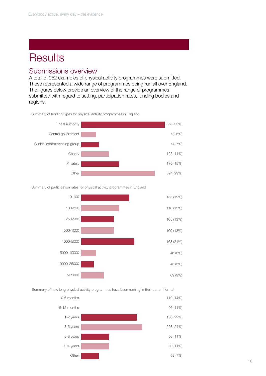# **Results**

## Submissions overview

A total of 952 examples of physical activity programmes were submitted. These represented a wide range of programmes being run all over England. The figures below provide an overview of the range of programmes submitted with regard to setting, participation rates, funding bodies and regions.

Summary of funding types for physical activity programmes in England



Summary of participation rates for physical activity programmes in England



Summary of how long physical activity programmes have been running in their current format

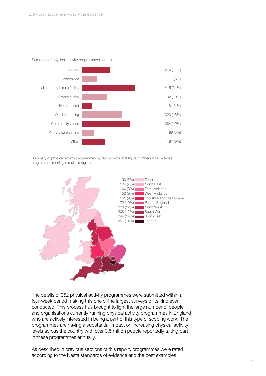

Summary of physical activity programmes settings

Summary of physical activity programmes by region. Note that figure numbers include those programmes running in multiple regions



The details of 952 physical activity programmes were submitted within a four-week period making this one of the largest surveys of its kind ever conducted. This process has brought to light the large number of people and organisations currently running physical activity programmes in England who are actively interested in being a part of this type of scoping work. The programmes are having a substantial impact on increasing physical activity levels across the country with over 3.5 million people reportedly taking part in these programmes annually.

As described in previous sections of this report, programmes were rated according to the Nesta standards of evidence and the best examples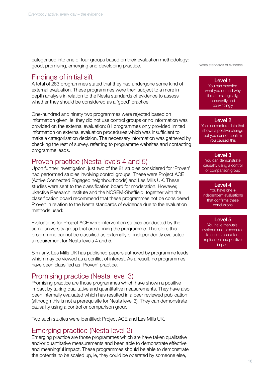categorised into one of four groups based on their evaluation methodology: good, promising, emerging and developing practice.

## Findings of initial sift

A total of 263 programmes stated that they had undergone some kind of external evaluation. These programmes were then subject to a more in depth analysis in relation to the Nesta standards of evidence to assess whether they should be considered as a 'good' practice.

One-hundred and ninety two programmes were rejected based on information given, ie, they did not use control groups or no information was provided on the external evaluation; 81 programmes only provided limited information on external evaluation procedures which was insufficient to make a categorisation decision. The necessary information was gathered by checking the rest of survey, referring to programme websites and contacting programme leads.

## Proven practice (Nesta levels 4 and 5)

Upon further investigation, just two of the 81 studies considered for 'Proven' had performed studies involving control groups. These were Project ACE (Active Connected Engaged neighbourhoods) and Les Mills UK. These studies were sent to the classification board for moderation. However, ukactive Research Institute and the NCSEM-Sheffield, together with the classification board recommend that these programmes not be considered Proven in relation to the Nesta standards of evidence due to the evaluation methods used:

Evaluations for Project ACE were intervention studies conducted by the same university group that are running the programme. Therefore this programme cannot be classified as externally or independently evaluated – a requirement for Nesta levels 4 and 5.

Similarly, Les Mills UK has published papers authored by programme leads which may be viewed as a conflict of interest. As a result, no programmes have been classified as 'Proven' practice.

# Promising practice (Nesta level 3)

Promising practice are those programmes which have shown a positive impact by taking qualitative and quantitative measurements. They have also been internally evaluated which has resulted in a peer reviewed publication (although this is not a prerequisite for Nesta level 3). They can demonstrate causality using a control or comparison group.

Two such studies were identified: Project ACE and Les Mills UK.

## Emerging practice (Nesta level 2)

Emerging practice are those programmes which are have taken qualitative and/or quantitative measurements and been able to demonstrate effective and meaningful impact. These programmes should be able to demonstrate the potential to be scaled up, ie, they could be operated by someone else,

Nesta standards of evidence

#### Level 1

You can describe what you do and why it matters, logically, coherently and convincingly

#### Level 2

You can capture data that shows a positive change but you cannot confirm you caused this

## Level 3

You can demonstrate causality using a control or comparison group

#### Level 4

You have one + independent evaluations that confirms these conclusions

## Level 5

You have manuals, systems and procedures to ensure consistent replication and positive impact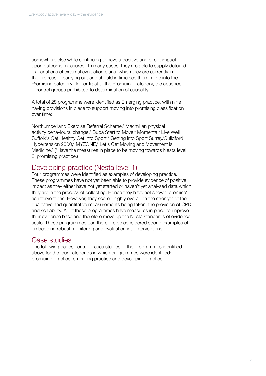somewhere else while continuing to have a positive and direct impact upon outcome measures. In many cases, they are able to supply detailed explanations of external evaluation plans, which they are currently in the process of carrying out and should in time see them move into the Promising category. In contrast to the Promising category, the absence ofcontrol groups prohibited to determination of causality.

A total of 28 programme were identified as Emerging practice, with nine having provisions in place to support moving into promising classification over time;

Northumberland Exercise Referral Scheme,\* Macmillan physical activity behavioural change,\* Bupa Start to Move,\* Momenta,\* Live Well Suffolk's Get Healthy Get Into Sport,\* Getting into Sport Surrey/Guildford Hypertension 2000,\* MYZONE,\* Let's Get Moving and Movement is Medicine.\* (\*Have the measures in place to be moving towards Nesta level 3, promising practice.)

# Developing practice (Nesta level 1)

Four programmes were identified as examples of developing practice. These programmes have not yet been able to provide evidence of positive impact as they either have not yet started or haven't yet analysed data which they are in the process of collecting. Hence they have not shown 'promise' as interventions. However, they scored highly overall on the strength of the qualitative and quantitative measurements being taken, the provision of CPD and scalability. All of these programmes have measures in place to improve their evidence base and therefore move up the Nesta standards of evidence scale. These programmes can therefore be considered strong examples of embedding robust monitoring and evaluation into interventions.

## Case studies

The following pages contain cases studies of the programmes identified above for the four categories in which programmes were identified: promising practice, emerging practice and developing practice.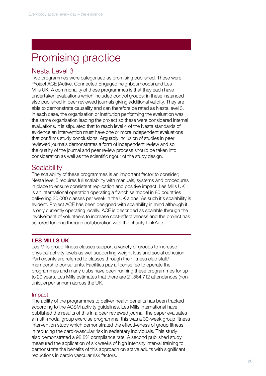# Promising practice

## Nesta Level 3

Two programmes were categorised as promising published. These were Project ACE (Active, Connected Engaged neighbourhoods) and Les Mills UK. A commonality of these programmes is that they each have undertaken evaluations which included control groups; in these instanced also published in peer reviewed journals giving additional validity. They are able to demonstrate causality and can therefore be rated as Nesta level 3. In each case, the organisation or institution performing the evaluation was the same organisation leading the project so these were considered internal evaluations. It is stipulated that to reach level 4 of the Nesta standards of evidence an intervention must have one or more independent evaluations that confirms study conclusions. Arguably inclusion of studies in peer reviewed journals demonstrates a form of independent review and so the quality of the journal and peer review process should be taken into consideration as well as the scientific rigour of the study design.

# **Scalability**

The scalability of these programmes is an important factor to consider; Nesta level 5 requires full scalability with manuals, systems and procedures in place to ensure consistent replication and positive impact. Les Mills UK is an international operation operating a franchise model in 80 countries delivering 30,000 classes per week in the UK alone As such it's scalability is evident. Project ACE has been designed with scalability in mind although it is only currently operating locally. ACE is described as scalable through the involvement of volunteers to increase cost-effectiveness and the project has secured funding through collaboration with the charity LinkAge.

## LES MILLS UK

Les Mills group fitness classes support a variety of groups to increase physical activity levels as well supporting weight loss and social cohesion. Participants are referred to classes through their fitness club staff/ membership consultants. Facilities pay a license fee to operate the programmes and many clubs have been running these programmes for up to 20 years. Les Mills estimates that there are 21,564,712 attendances (nonunique) per annum across the UK.

## Impact

The ability of the programmes to deliver health benefits has been tracked according to the ACSM activity guidelines. Les Mills International have published the results of this in a peer reviewed journal; the paper evaluates a multi-modal group exercise programme, this was a 30-week group fitness intervention study which demonstrated the effectiveness of group fitness in reducing the cardiovascular risk in sedentary individuals. This study also demonstrated a 98.8% compliance rate. A second published study measured the application of six weeks of high intensity interval training to demonstrate the benefits of this approach on active adults with significant reductions in cardio vascular risk factors.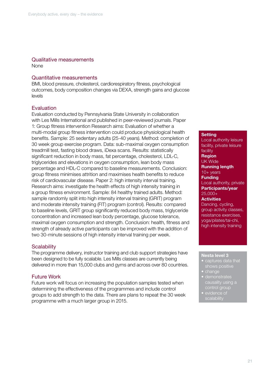## Qualitative measurements

None

## Quantitative measurements

BMI, blood pressure, cholesterol, cardiorespiratory fitness, psychological outcomes, body composition changes via DEXA, strength gains and glucose levels

## Evaluation

Evaluation conducted by Pennsylvania State University in collaboration with Les Mills International and published in peer-reviewed journals. Paper 1: Group fitness intervention Research aims: Evaluation of whether a multi-modal group fitness intervention could produce physiological health benefits. Sample: 25 sedentary adults (25-40 years). Method: completion of 30 week group exercise program. Data: sub-maximal oxygen consumption treadmill test, fasting blood draws, iDexa scans. Results: statistically significant reduction in body mass, fat percentage, cholesterol, LDL-C, triglycerides and elevations in oxygen consumption, lean body mass percentage and HDL-C compared to baseline measurements. Conclusion: group fitness minimises attrition and maximises health benefits to reduce risk of cardiovascular disease. Paper 2: high intensity interval training. Research aims: investigate the health effects of high intensity training in a group fitness environment. Sample: 84 healthy trained adults. Method: sample randomly split into high intensity interval training (GRIT) program and moderate intensity training (FIT) program (control). Results: compared to baseline levels, GRIT group significantly reduced body mass, triglyceride concentration and increased lean body percentage, glucose tolerance, maximal oxygen consumption and strength. Conclusion: health, fitness and strength of already active participants can be improved with the addition of two 30-minute sessions of high intensity interval training per week.

## **Scalability**

The programme delivery, instructor training and club support strategies have been designed to be fully scalable. Les Mills classes are currently being delivered in more than 15,000 clubs and gyms and across over 80 countries.

## Future Work

Future work will focus on increasing the population samples tested when determining the effectiveness of the programmes and include control groups to add strength to the data. There are plans to repeat the 30 week programme with a much larger group in 2015.

#### **Setting**

Local authority leisure facility, private leisure facility Region UK Wide Running length 10+ years Funding Local authority, private Participants/year 25,000+ **Activities** Dancing, cycling, group activity classes, resistance exercises, yoga/pilates/tai-chi, high intensity training

#### Nesta level 3

- captures data that
- change
- demonstrates control group
- evidence of scalability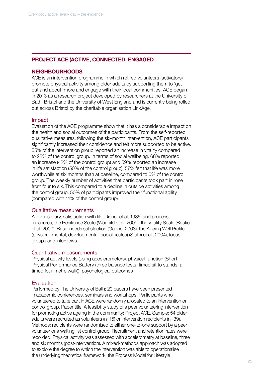## PROJECT ACE (ACTIVE, CONNECTED, ENGAGED

## NEIGHBOURHOODS

ACE is an intervention programme in which retired volunteers (activators) promote physical activity among older adults by supporting them to 'get out and about' more and engage with their local communities. ACE began in 2013 as a research project developed by researchers at the University of Bath, Bristol and the University of West England and is currently being rolled out across Bristol by the charitable organisation LinkAge.

#### Impact

Evaluation of the ACE programme show that it has a considerable impact on the health and social outcomes of the participants. From the self-reported qualitative measures, following the six-month intervention, ACE participants significantly increased their confidence and felt more supported to be active. 55% of the intervention group reported an increase in vitality compared to 22% of the control group. In terms of social wellbeing, 68% reported an increase (42% of the control group) and 59% reported an increase in life satisfaction (50% of the control group). 57% felt that life was more worthwhile at six months than at baseline, compared to 0% of the control group. The weekly number of activities that participants took part in rose from four to six. This compared to a decline in outside activities among the control group. 50% of participants improved their functional ability (compared with 11% of the control group).

#### Qualitative measurements

Activities diary, satisfaction with life (Diener et al, 1985) and process measures, the Resilience Scale (Wagnild et al, 2009), the Vitality Scale (Bostic et al, 2000), Basic needs satisfaction (Gagne, 2003), the Ageing Well Profile (physical, mental, developmental, social scales) (Stathi et al., 2004), focus groups and interviews.

#### Quantitative measurements

Physical activity levels (using accelerometers), physical function (Short Physical Performance Battery (three balance tests, timed sit to stands, a timed four-metre walk)), psychological outcomes

## Evaluation

Performed by The University of Bath; 20 papers have been presented in academic conferences, seminars and workshops. Participants who volunteered to take part in ACE were randomly allocated to an intervention or control group. Paper title: A feasibility study of a peer volunteering intervention for promoting active ageing in the community: Project ACE. Sample: 54 older adults were recruited as volunteers (n=15) or intervention recipients (n=39). Methods: recipients were randomised to either one-to-one support by a peer volunteer or a waiting list control group. Recruitment and retention rates were recorded. Physical activity was assessed with accelerometry at baseline, three and six months (post-intervention). A mixed-methods approach was adopted to explore the degree to which the intervention was able to operationalise the underlying theoretical framework, the Process Model for Lifestyle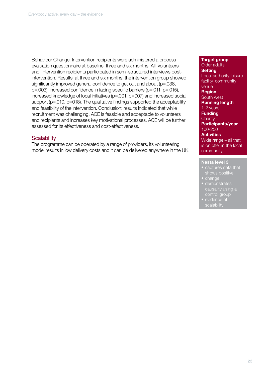Behaviour Change. Intervention recipients were administered a process evaluation questionnaire at baseline, three and six months. All volunteers and intervention recipients participated in semi-structured interviews postintervention. Results: at three and six months, the intervention group showed significantly improved general confidence to get out and about (p=.038, p=.003), increased confidence in facing specific barriers (p=.011, p=.015), increased knowledge of local initiatives (p=.001, p=007) and increased social support (p=.010, p=018). The qualitative findings supported the acceptability and feasibility of the intervention. Conclusion: results indicated that while recruitment was challenging, ACE is feasible and acceptable to volunteers and recipients and increases key motivational processes. ACE will be further assessed for its effectiveness and cost-effectiveness.

## **Scalability**

The programme can be operated by a range of providers, its volunteering model results in low delivery costs and it can be delivered anywhere in the UK.

## Target group

Older adults **Setting** Local authority leisure facility, community venue Region South west Running length 1-2 years **Funding Charity** Participants/year 100-250 **Activities** Wide range – all that is on offer in the local community

#### Nesta level 3

- captures data that
- change
- demonstrates causality using a control group
- evidence of scalability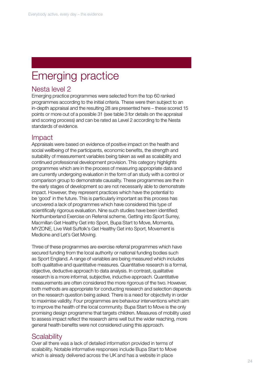# Emerging practice

## Nesta level 2

Emerging practice programmes were selected from the top 60 ranked programmes according to the initial criteria. These were then subject to an in-depth appraisal and the resulting 28 are presented here – these scored 15 points or more out of a possible 31 (see table 3 for details on the appraisal and scoring process) and can be rated as Level 2 according to the Nesta standards of evidence.

## Impact

Appraisals were based on evidence of positive impact on the health and social wellbeing of the participants, economic benefits, the strength and suitability of measurement variables being taken as well as scalability and continued professional development provision. This category highlights programmes which are in the process of measuring appropriate data and are currently undergoing evaluation in the form of an study with a control or comparison group to demonstrate causality. These programmes are the in the early stages of development so are not necessarily able to demonstrate impact. However, they represent practices which have the potential to be 'good' in the future. This is particularly important as this process has uncovered a lack of programmes which have considered this type of scientifically rigorous evaluation. Nine such studies have been identified; Northumberland Exercise on Referral scheme, Getting into Sport Surrey, Macmillan Get Healthy Get into Sport, Bupa Start to Move, Momenta, MYZONE, Live Well Suffolk's Get Healthy Get into Sport, Movement is Medicine and Let's Get Moving.

Three of these programmes are exercise referral programmes which have secured funding from the local authority or national funding bodies such as Sport England. A range of variables are being measured which includes both qualitative and quantitative measures. Quantitative research is a formal, objective, deductive approach to data analysis. In contrast, qualitative research is a more informal, subjective, inductive approach. Quantitative measurements are often considered the more rigorous of the two. However, both methods are appropriate for conducting research and selection depends on the research question being asked. There is a need for objectivity in order to maximise validity. Four programmes are behaviour interventions which aim to improve the health of the local community. Bupa Start to Move is the only promising design programme that targets children. Measures of mobility used to assess impact reflect the research aims well but the wider reaching, more general health benefits were not considered using this approach.

## **Scalability**

Over all there was a lack of detailed information provided in terms of scalability. Notable informative responses include Bupa Start to Move which is already delivered across the UK and has a website in place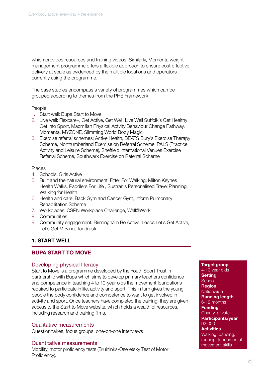which provides resources and training videos. Similarly, Momenta weight management programme offers a flexible approach to ensure cost effective delivery at scale as evidenced by the multiple locations and operators currently using the programme.

The case studies encompass a variety of programmes which can be grouped according to themes from the PHE Framework:

## People

- 1. Start well: Bupa Start to Move
- 2. Live well: Flexcare+, Get Active, Get Well, Live Well Suffolk's Get Healthy Get Into Sport, Macmillan Physical Actvity Behaviour Change Pathway, Momenta, MYZONE, Slimming World Body Magic
- 3. Exercise referral schemes: Active Health, BEATS Bury's Exercise Therapy Scheme, Northumberland Exercise on Referral Scheme, PALS (Practice Activity and Leisure Scheme), Sheffield International Venues Exercise Referral Scheme, Southwark Exercise on Referral Scheme

## Places

- 4. Schools: Girls Active
- 5. Built and the natural environment: Fitter For Walking, Milton Keynes Health Walks, Paddlers For Life , Sustran's Personalised Travel Planning, Walking for Health
- 6. Health and care: Back Gym and Cancer Gym, Inform Pulmonary Rehabilitation Scheme
- 7. Workplaces: CSPN Workplace Challenge, Well@Work
- 8. Communities
- 9. Community engagement: Birmingham Be Active, Leeds Let's Get Active, Let's Get Moving, Tandrusti

## 1. START WELL

## BUPA START TO MOVE

## Developing physical literacy

Start to Move is a programme developed by the Youth Sport Trust in partnership with Bupa which aims to develop primary teachers confidence and competence in teaching 4 to 10-year olds the movement foundations required to participate in life, activity and sport. This in turn gives the young people the body confidence and competence to want to get involved in activity and sport. Once teachers have completed the training, they are given access to the Start to Move website, which holds a wealth of resources, including research and training films.

## Qualitative measurements

Questionnaires, focus groups, one-on-one interviews

## Quantitative measurements

Mobility, motor proficiency tests (Bruininks-Oseretsky Test of Motor Proficiency).

Target group 4-10 year olds **Setting School Region Nationwide** Running length 6-12 months Funding Charity, private Participants/year 92,000 **Activities** Walking, dancing, running, fundamental movement skills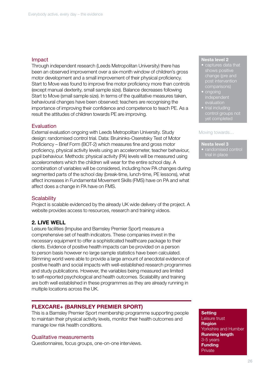## Impact

Through independent research (Leeds Metropolitan University) there has been an observed improvement over a six-month window of children's gross motor development and a small improvement of their physical proficiency. Start to Move was found to improve fine motor proficiency more than controls (except manual dexterity, small sample size). Balance decreases following Start to Move (small sample size). In terms of the qualitative measures taken, behavioural changes have been observed; teachers are recognising the importance of improving their confidence and competence to teach PE. As a result the attitudes of children towards PE are improving.

## Evaluation

External evaluation ongoing with Leeds Metropolitan University. Study design: randomised control trial. Data: Bruininks-Oseretsky Test of Motor Proficiency – Brief Form (BOT-2) which measures fine and gross motor proficiency, physical activity levels using an accelerometer, teacher behaviour, pupil behaviour. Methods: physical activity (PA) levels will be measured using accelerometers which the children will wear for the entire school day. A combination of variables will be considered, including how PA changes during segmented parts of the school day (break-time, lunch-time, PE lessons), what affect increases in Fundamental Movement Skills (FMS) have on PA and what affect does a change in PA have on FMS.

## **Scalability**

Project is scalable evidenced by the already UK wide delivery of the project. A website provides access to resources, research and training videos.

## 2. LIVE WELL

Leisure facilities (Impulse and Barnsley Premier Sport) measure a comprehensive set of health indicators. These companies invest in the necessary equipment to offer a sophisticated healthcare package to their clients. Evidence of positive health impacts can be provided on a person to person basis however no large sample statistics have been calculated. Slimming world were able to provide a large amount of anecdotal evidence of positive health and social impacts with well-established research programmes and study publications. However, the variables being measured are limited to self-reported psychological and health outcomes. Scalability and training are both well established in these programmes as they are already running in multiple locations across the UK.

## FLEXCARE+ (BARNSLEY PREMIER SPORT)

This is a Barnsley Premier Sport membership programme supporting people to maintain their physical activity levels, monitor their health outcomes and manage low risk health conditions.

#### Qualitative measurements

Questionnaires, focus groups, one-on-one interviews.

#### Nesta level 2

- captures data that change (pre and post intervention comparisons)
- ongoing independent
- trial including control groups not yet completed

#### Moving towards…

#### Nesta level 3

• randomised control

#### **Setting** Leisure trust

Region Yorkshire and Humber Running length 3-5 years **Funding** Private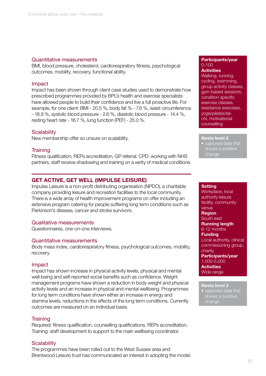## Quantitative measurements

BMI, blood pressure, cholesterol, cardiorespiratory fitness, psychological outcomes, mobility, recovery, functional ability.

## Impact

Impact has been shown through client case studies used to demonstrate how prescribed programmes provided by BPL's health and exercise specialists have allowed people to build their confidence and live a full proactive life. For example, for one client: BMI - 20.5 %, body fat % - 7.6 %, waist circumference - 18.9 %, systolic blood pressure - 2.6 %, diastolic blood pressure - 14.4 %, resting heart rate - 16.7 %, lung function (PEF) - 25.0 %.

## **Scalability**

New membership offer so unsure on scalability.

## **Training**

Fitness qualification, REPs accreditation, GP referral. CPD: working with NHS partners, staff receive shadowing and training on a verity of medical conditions.

## GET ACTIVE, GET WELL (IMPULSE LEISURE)

Impulse Leisure is a non-profit distributing organisation (NPDO), a charitable company providing leisure and recreation facilities to the local community. There is a wide array of health improvement programs on offer including an extensive program catering for people suffering long term conditions such as Parkinson's disease, cancer and stroke survivors.

## Qualitative measurements

Questionnaires, one-on-one interviews.

## Quantitative measurements

Body mass index, cardiorespiratory fitness, psychological outcomes, mobility, recovery.

## Impact

Impact has shown increase in physical activity levels, physical and mental well-being and self-reported social benefits such as confidence. Weight management programs have shown a reduction in body weight and physical activity levels and an increase in physical and mental wellbeing. Programmes for long term conditions have shown either an increase in energy and stamina levels, reductions in the effects of the long term conditions. Currently outcomes are measured on an individual basis.

## **Training**

Required: fitness qualification, counselling qualifications, REPs accreditation. Training: staff development to support to the main wellbeing coordinator.

## **Scalability**

The programmes have been rolled out to the West Sussex area and Brentwood Leisure trust has communicated an interest in adopting the model.

#### Participants/year 0-100

**Activities** Walking, running, cycling, swimming, group activity classes, gym-based sessions, condition specific exercise classes, resistance exercises, yoga/pilates/taichi, motivational counselling

Nesta level 2 • captured data that change

#### **Setting**

Workplace, local authority leisure facility, community venue Region South east Running length 6-12 months Funding Local authority, clinical commissioning group, charity Participants/year 1,000-5,000 **Activities** Wide range

#### Nesta level 2

captured data that change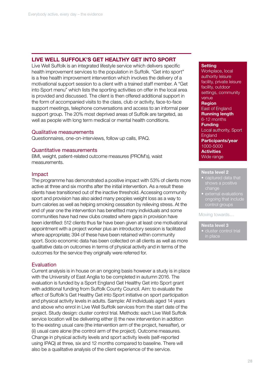## LIVE WELL SUFFOLK'S GET HEALTHY GET INTO SPORT

Live Well Suffolk is an integrated lifestyle service which delivers specific health improvement services to the population in Suffolk. "Get into sport" is a free health improvement intervention which involves the delivery of a motivational support session to a client with a trained staff member. A "Get into Sport menu" which lists the sporting activities on offer in the local area is provided and discussed. The client is then offered additional support in the form of accompanied visits to the class, club or activity, face-to-face support meetings, telephone conversations and access to an informal peer support group. The 20% most deprived areas of Suffolk are targeted, as well as people with long term medical or mental health conditions.

## Qualitative measurements

Questionnaires, one-on-interviews, follow up calls, IPAQ.

## Quantitative measurements

BMI, weight, patient-related outcome measures (PROM's), waist measurements.

## Impact

The programme has demonstrated a positive impact with 53% of clients more active at three and six months after the initial intervention. As a result these clients have transitioned out of the inactive threshold. Accessing community sport and provision has also aided many peoples weight loss as a way to burn calories as well as helping smoking cessation by relieving stress. At the end of year one the intervention has benefited many individuals and some communities have had new clubs created where gaps in provision have been identified: 512 clients thus far have been given at least one motivational appointment with a project worker plus an introductory session is facilitated where appropriate; 394 of these have been retained within community sport. Socio economic data has been collected on all clients as well as more qualitative data on outcomes in terms of physical activity and in terms of the outcomes for the service they originally were referred for.

## Evaluation

Current analysis is in house on an ongoing basis however a study is in place with the University of East Anglia to be completed in autumn 2016. The evaluation is funded by a Sport England Get Healthy Get into Sport grant with additional funding from Suffolk County Council. Aim: to evaluate the effect of Suffolk's Get Healthy Get into Sport initiative on sport participation and physical activity levels in adults. Sample: All individuals aged 14 years and above who enrol in Live Well Suffolk services from the start date of the project. Study design: cluster control trial. Methods: each Live Well Suffolk service location will be delivering either (i) the new intervention in addition to the existing usual care (the intervention arm of the project, hereafter), or (ii) usual care alone (the control arm of the project). Outcome measures. Change in physical activity levels and sport activity levels (self-reported using IPAQ) at three, six and 12 months compared to baseline. There will also be a qualitative analysis of the client experience of the service.

### **Setting**

Workplace, local authority leisure facility, private leisure facility, outdoor settings, community venue Region East of England Running length 6-12 months **Funding** Local authority, Sport **England** Participants/year 1000-5000 **Activities** Wide range

#### Nesta level 2

- captured data that change
- external evaluations ongoing that include control groups

#### Moving towards…

#### Nesta level 3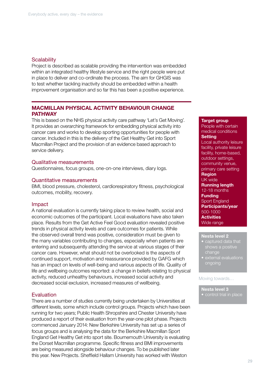## **Scalability**

Project is described as scalable providing the intervention was embedded within an integrated healthy lifestyle service and the right people were put in place to deliver and co-ordinate the process. The aim for GHGIS was to test whether tackling inactivity should be embedded within a health improvement organisation and so far this has been a positive experience.

## MACMILLAN PHYSICAL ACTIVITY BEHAVIOUR CHANGE **PATHWAY**

This is based on the NHS physical activity care pathway 'Let's Get Moving'. It provides an overarching framework for embedding physical activity into cancer care and works to develop sporting opportunities for people with cancer. Included in this is the delivery of the Get Healthy Get into Sport Macmillan Project and the provision of an evidence based approach to service delivery.

## Qualitative measurements

Questionnaires, focus groups, one-on-one interviews, diary logs.

#### Quantitative measurements

BMI, blood pressure, cholesterol, cardiorespiratory fitness, psychological outcomes, mobility, recovery.

#### Impact

A national evaluation is currently taking place to review health, social and economic outcomes of the participant. Local evaluations have also taken place. Results from the Get Active Feel Good evaluation revealed positive trends in physical activity levels and care outcomes for patients. While the observed overall trend was positive, consideration must be given to the many variables contributing to changes, especially when patients are entering and subsequently attending the service at various stages of their cancer care. However, what should not be overlooked is the aspects of continued support, motivation and reassurance provided by GAFG which has an impact on levels of well-being and various aspects of life. Quality of life and wellbeing outcomes reported: a change in beliefs relating to physical activity, reduced unhealthy behaviours, increased social activity and decreased social exclusion, increased measures of wellbeing.

## **Evaluation**

There are a number of studies currently being undertaken by Universities at different levels, some which include control groups. Projects which have been running for two years; Public Health Shropshire and Chester University have produced a report of their evaluation from the year-one pilot phase. Projects commenced January 2014: New Berkshire University has set up a series of focus groups and is analysing the data for the Berkshire Macmillan Sport England Get Healthy Get into sport site. Bournemouth University is evaluating the Dorset Macmillan programme. Specific fitness and BMI improvements are being measured alongside behaviour changes. To be published later this year. New Projects. Sheffield Hallam University has worked with Weston

#### Target group

People with certain medical conditions **Setting** Local authority leisure facility, private leisure facility, home-based, outdoor settings, community venue, primary care setting Region UK wide Running length 12-18 months **Funding** Sport England Participants/year 500-1000 **Activities** Wide range

## Nesta level 2

- captured data that shows a positive change
- external evaluations ongoing

#### Moving towards…

- Nesta level 3
- control trial in place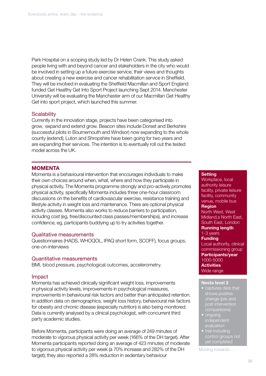Park Hospital on a scoping study led by Dr Helen Crank. This study asked people living with and beyond cancer and stakeholders in the city who would be involved in setting up a future exercise service, their views and thoughts about creating a new exercise and cancer rehabilitation service in Sheffield. They will be involved in evaluating the Sheffield Macmillan and Sport England funded Get Healthy Get Into Sport Project launching Sept 2014. Manchester University will be evaluating the Manchester arm of our Macmillan Get Healthy Get into sport project, which launched this summer.

## **Scalability**

Currently in the innovation stage, projects have been categorised into grow, expand and extend grow. Beacon sites include Dorset and Berkshire (successful pilots in Bournemouth and Windsor) now expanding to the whole county (extend); Luton and Shropshire have been going for two years and are expanding their services. The intention is to eventually roll out the tested model across the UK.

## **MOMENTA**

Momenta is a behavioural intervention that encourages individuals to make their own choices around when, what, where and how they participate in physical activity. The Momenta programme strongly and pro-actively promotes physical activity, specifically Momenta includes three one-hour classroom discussions on the benefits of cardiovascular exercise, resistance training and lifestyle activity in weight loss and maintenance. There are optional physical activity classes. Momenta also works to reduce barriers to participation, including cost (eg, free/discounted class passes/memberships), and increase confidence, eg, participants buddying up to try activities together.

## Qualitative measurements

Questionnaires (HADS, WHOQOL, IPAQ short form, SCOFF), focus groups, one-on-interviews

## Quantitative measurements

BMI, blood pressure, psychological outcomes, accelerometry.

## Impact

Momenta has achieved clinically significant weight loss, improvements in physical activity levels, improvements in psychological measures, improvements in behavioural risk factors and better than anticipated retention. In addition data on demographics, weight loss history, behavioural risk factors for obesity and chronic disease (especially nutrition) is also being monitored. Data is currently analysed by a clinical psychologist, with concurrent third party academic studies.

Before Momenta, participants were doing an average of 249 minutes of moderate to vigorous physical activity per week (166% of the DH target). After Momenta participants reported doing an average of 423 minutes of moderate to vigorous physical activity per week (a 70% increase and 282% of the DH target); they also reported a 28% reduction in sedentary behaviour

#### **Setting**

Workplace, local authority leisure facility, private leisure facility, community venue, mobile bus Region North West, West Midland,s North East, South East, London Running length 1-3 years **Funding** Local authority, clinical commissioning group Participants/year 1000-5000 **Activities** Wide range

#### Nesta level 2

- captures data that change (pre and post intervention comparisons)
- ongoing independent
- trial including control groups not yet completed

Moving towards…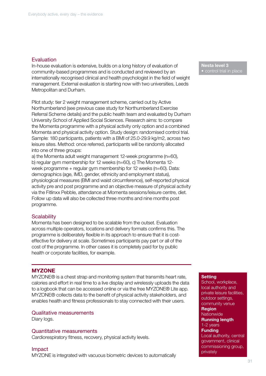## **Evaluation**

In-house evaluation is extensive, builds on a long history of evaluation of community-based programmes and is conducted and reviewed by an internationally recognised clinical and health psychologist in the field of weight management. External evaluation is starting now with two universities, Leeds Metropolitan and Durham.

Pilot study: tier 2 weight management scheme, carried out by Active Northumberland (see previous case study for Northumberland Exercise Referral Scheme details) and the public health team and evaluated by Durham University School of Applied Social Sciences. Research aims: to compare the Momenta programme with a physical activity only option and a combined Momenta and physical activity option. Study design: randomised control trial. Sample: 180 participants, patients with a BMI of 25.0-29.9 kg/m2, across two leisure sites. Method: once referred, participants will be randomly allocated into one of three groups:

a) the Momenta adult weight management 12-week programme (n=60), b) regular gym membership for 12 weeks (n=60), c) The Momenta 12 week programme + regular gym membership for 12 weeks (n=60). Data: demographics (age, IMD, gender, ethnicity and employment status), physiological measures (BMI and waist circumference), self-reported physical activity pre and post programme and an objective measure of physical activity via the Fitlinxx Pebble, attendance at Momenta sessions/leisure centre, diet. Follow up data will also be collected three months and nine months post programme.

## **Scalability**

Momenta has been designed to be scalable from the outset. Evaluation across multiple operators, locations and delivery formats confirms this. The programme is deliberately flexible in its approach to ensure that it is costeffective for delivery at scale. Sometimes participants pay part or all of the cost of the programme. In other cases it is completely paid for by public health or corporate facilities, for example.

## **MYZONE**

MYZONE® is a chest strap and monitoring system that transmits heart rate, calories and effort in real time to a live display and wirelessly uploads the data to a logbook that can be accessed online or via the free MYZONE® Lite app. MYZONE® collects data to the benefit of physical activity stakeholders, and enables health and fitness professionals to stay connected with their users.

## Qualitative measurements

Diary logs.

#### Quantitative measurements

Cardiorespiratory fitness, recovery, physical activity levels.

Nesta level 3 • control trial in place

#### **Setting**

School, workplace, local authority and private leisure facilities, outdoor settings, community venue Region **Nationwide** Running length 1-2 years **Funding** Local authority, central government, clinical commissioning group, privately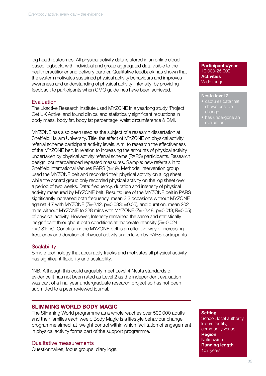log health outcomes. All physical activity data is stored in an online cloud based logbook, with individual and group aggregated data visible to the health practitioner and delivery partner. Qualitative feedback has shown that the system motivates sustained physical activity behaviours and improves awareness and understanding of physical activity 'intensity' by providing feedback to participants when CMO guidelines have been achieved.

## Evaluation

The ukactive Research Institute used MYZONE in a yearlong study 'Project Get UK Active' and found clinical and statistically significant reductions in body mass, body fat, body fat percentage, waist circumference & BMI.

MYZONE has also been used as the subject of a research dissertation at Sheffield Hallam University. Title: the effect of MYZONE on physical activity referral scheme participant activity levels. Aim: to research the effectiveness of the MYZONE belt, in relation to increasing the amounts of physical activity undertaken by physical activity referral scheme (PARS) participants. Research design: counterbalanced repeated measures. Sample: new referrals in to Sheffield International Venues PARS (n=19). Methods: intervention group used the MYZONE belt and recorded their physical activity on a log sheet, while the control group only recorded physical activity on the log sheet over a period of two weeks. Data: frequency, duration and intensity of physical activity measured by MYZONE belt. Results: use of the MYZONE belt in PARS significantly increased both frequency, mean 3.3 occasions without MYZONE against 4.7 with MYZONE (Z=-2.12, p=0.033; =0.05), and duration, mean 202 mins without MYZONE to 328 mins with MYZONE  $(Z= -2.48, p=0.013; =0.05)$ of physical activity. However, Intensity remained the same and statistically insignificant throughout both conditions at moderate intensity (Z=-0.024, p=0.81; ns). Conclusion: the MYZONE belt is an effective way of increasing frequency and duration of physical activity undertaken by PARS participants

## **Scalability**

Simple technology that accurately tracks and motivates all physical activity has significant flexibility and scalability.

\*NB. Although this could arguably meet Level 4 Nesta standards of evidence it has not been rated as Level 2 as the independent evaluation was part of a final year undergraduate research project so has not been submitted to a peer reviewed journal.

## SLIMMING WORLD BODY MAGIC

The Slimming World programme as a whole reaches over 500,000 adults and their families each week. Body Magic is a lifestyle behaviour change programme aimed at weight control within which facilitation of engagement in physical activity forms part of the support programme.

Qualitative measurements Questionnaires, focus groups, diary logs. Participants/year 10,000-25,000 **Activities** Wide range

## Nesta level 2

- captures data that shows positive change
- has undergone an

#### **Setting**

School, local authority leisure facility, community venue **Region Nationwide** Running length 10+ years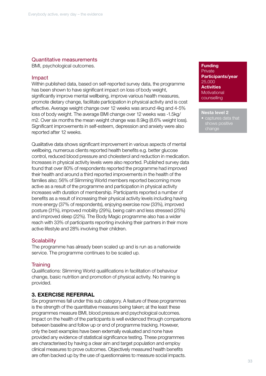## Quantitative measurements

BMI, psychological outcomes.

## Impact

Within published data, based on self-reported survey data, the programme has been shown to have significant impact on loss of body weight, significantly improve mental wellbeing, improve various health measures, promote dietary change, facilitate participation in physical activity and is cost effective. Average weight change over 12 weeks was around 4kg and 4-5% loss of body weight. The average BMI change over 12 weeks was -1.5kg/ m2. Over six months the mean weight change was 8.9kg (8.6% weight loss). Significant improvements in self-esteem, depression and anxiety were also reported after 12 weeks.

Qualitative data shows significant improvement in various aspects of mental wellbeing, numerous clients reported health benefits e.g. better glucose control, reduced blood pressure and cholesterol and reduction in medication. Increases in physical activity levels were also reported. Published survey data found that over 80% of respondents reported the programme had improved their health and around a third reported improvements in the health of the families also; 56% of Slimming World members reported becoming more active as a result of the programme and participation in physical activity increases with duration of membership. Participants reported a number of benefits as a result of increasing their physical activity levels including having more energy (37% of respondents), enjoying exercise now (33%), improved posture (31%), improved mobility (29%), being calm and less stressed (25%) and improved sleep (22%). The Body Magic programme also has a wider reach with 33% of participants reporting involving their partners in their more active lifestyle and 28% involving their children.

## **Scalability**

The programme has already been scaled up and is run as a nationwide service. The programme continues to be scaled up.

## **Training**

Qualifications: Slimming World qualifications in facilitation of behaviour change, basic nutrition and promotion of physical activity. No training is provided.

## 3. EXERCISE REFERRAL

Six programmes fall under this sub category. A feature of these programmes is the strength of the quantitative measures being taken; at the least these programmes measure BMI, blood pressure and psychological outcomes. Impact on the health of the participants is well evidenced through comparisons between baseline and follow up or end of programme tracking. However, only the best examples have been externally evaluated and none have provided any evidence of statistical significance testing. These programmes are characterised by having a clear aim and target population and employ clinical measures to prove outcomes. Objectively measured health benefits are often backed up by the use of questionnaires to measure social impacts.

### **Funding** Private Participants/year 25,000 **Activities Motivational** counselling

## Nesta level 2

• captures data that change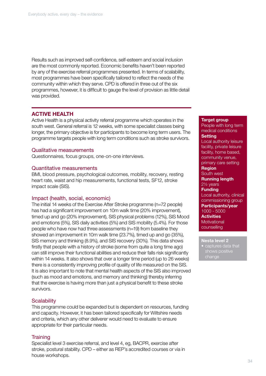Results such as improved self-confidence, self-esteem and social inclusion are the most commonly reported. Economic benefits haven't been reported by any of the exercise referral programmes presented. In terms of scalability, most programmes have been specifically tailored to reflect the needs of the community within which they serve. CPD is offered in three out of the six programmes, however, it is difficult to gauge the level of provision as little detail was provided.

## ACTIVE HEALTH

Active Health is a physical activity referral programme which operates in the south west. General referral is 12 weeks, with some specialist classes being longer, the primary objective is for participants to become long term users. The programme targets people with long term conditions such as stroke survivors.

## Qualitative measurements

Questionnaires, focus groups, one-on-one interviews.

## Quantitative measurements

BMI, blood pressure, psychological outcomes, mobility, recovery, resting heart rate, waist and hip measurements, functional tests, SF12, stroke impact scale (SIS).

## Impact (health, social, economic)

The initial 14 weeks of the Exercise After Stroke programme (n=72 people) has had a significant improvement on 10m walk time (20% improvement), timed up and go (20% improvement), SIS physical problems (12%), SIS Mood and emotions (5%), SIS daily activities (5%) and SIS mobility (5.4%). For those people who have now had three assessments (n=19) from baseline they showed an improvement in 10m walk time (23.7%), timed up and go (35%), SIS memory and thinking (8.9%), and SIS recovery (30%). This data shows firstly that people with a history of stroke (some from quite a long time ago) can still improve their functional abilities and reduce their falls risk significantly within 14 weeks. It also shows that over a longer time period (up to 26 weeks) there is a consistently improving profile of quality of life measured on the SIS. It is also important to note that mental health aspects of the SIS also improved (such as mood and emotions, and memory and thinking) thereby inferring that the exercise is having more than just a physical benefit to these stroke survivors.

## **Scalability**

This programme could be expanded but is dependent on resources, funding and capacity. However, it has been tailored specifically for Wiltshire needs and criteria, which any other deliverer would need to evaluate to ensure appropriate for their particular needs.

## **Training**

Specialist level 3 exercise referral, and level 4, eg, BACPR, exercise after stroke, postural stability. CPD – either as REP's accredited courses or via in house workshops.

#### Target group

People with long term medical conditions **Setting** Local authority leisure facility, private leisure facility, home based, community venue, primary care setting Region South west Running length 21/2 years Funding Local authority, clinical commissioning group Participants/year 1000 - 5000 **Activities Motivational** counselling

#### Nesta level 2

captures data that change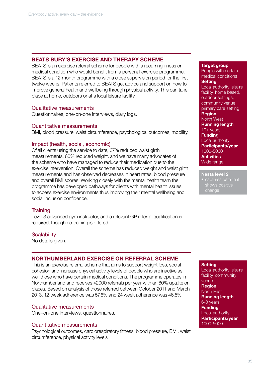## BEATS BURY'S EXERCISE AND THERAPY SCHEME

BEATS is an exercise referral scheme for people with a recurring illness or medical condition who would benefit from a personal exercise programme. BEATS is a 12-month programme with a close supervision period for the first twelve weeks. Patients referred to BEATS get advice and support on how to improve general health and wellbeing through physical activity. This can take place at home, outdoors or at a local leisure facility.

## Qualitative measurements

Questionnaires, one-on-one interviews, diary logs.

## Quantitative measurements

BMI, blood pressure, waist circumference, psychological outcomes, mobility.

## Impact (health, social, economic)

Of all clients using the service to date, 67% reduced waist girth measurements, 60% reduced weight, and we have many advocates of the scheme who have managed to reduce their medication due to the exercise intervention. Overall the scheme has reduced weight and waist girth measurements and has observed decreases in heart rates, blood pressure and overall BMI scores. Working closely with the mental health team the programme has developed pathways for clients with mental health issues to access exercise environments thus improving their mental wellbeing and social inclusion confidence.

## **Training**

Level 3 advanced gym instructor, and a relevant GP referral qualification is required, though no training is offered.

## **Scalability**

No details given.

## NORTHUMBERLAND EXERCISE ON REFERRAL SCHEME

This is an exercise referral scheme that aims to support weight loss, social cohesion and increase physical activity levels of people who are inactive as well those who have certain medical conditions. The programme operates in Northumberland and receives ≈2000 referrals per year with an 80% uptake on places. Based on analysis of those referred between October 2011 and March 2013, 12-week adherence was 57.6% and 24 week adherence was 46.5%.

## Qualitative measurements

One–on-one interviews, questionnaires.

## Quantitative measurements

Psychological outcomes, cardiorespiratory fitness, blood pressure, BMI, waist circumference, physical activity levels

#### Target group

People with certain medical conditions **Setting** Local authority leisure facility, home based, outdoor settings, community venue, primary care setting Region North West Running length 10+ years **Funding** Local authority Participants/year 1000-5000 **Activities** Wide range

#### Nesta level 2

• captures data that shows positive change

## **Setting**

Local authority leisure facility, community venue **Region** North East Running length 6-8 years **Funding** Local authority Participants/year 1000-5000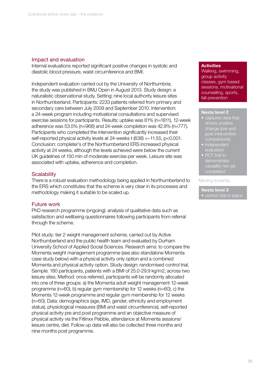## Impact and evaluation

Internal evaluations reported significant positive changes in systolic and diastolic blood pressure, waist circumference and BMI.

Independent evaluation carried out by the University of Northumbria; the study was published in BMJ Open in August 2013. Study design: a naturalistic observational study. Setting: nine local authority leisure sites in Northumberland. Participants: 2233 patients referred from primary and secondary care between July 2009 and September 2010. Intervention: a 24-week program including motivational consultations and supervised exercise sessions for participants. Results: uptake was 81% (n=1811), 12-week adherence was 53.5% (n=968) and 24-week completion was 42.9% (n=777). Participants who completed the intervention significantly increased their self-reported physical activity levels at 24-weeks t (638) =−11.55, p<0.001. Conclusion: completer's of the Northumberland ERS increased physical activity at 24 weeks, although the levels achieved were below the current UK guidelines of 150 min of moderate exercise per week. Leisure site was associated with uptake, adherence and completion.

## **Scalability**

There is a robust evaluation methodology being applied in Northumberland to the ERS which constitutes that the scheme is very clear in its processes and methodology making it suitable to be scaled up.

## Future work

PhD research programme (ongoing): analysis of qualitative data such as satisfaction and wellbeing questionnaires following participants from referral through the scheme.

Pilot study: tier 2 weight management scheme, carried out by Active Northumberland and the public health team and evaluated by Durham University School of Applied Social Sciences. Research aims: to compare the Momenta weight management programme (see also standalone Momenta case study below) with a physical activity only option and a combined Momenta and physical activity option. Study design: randomised control trial. Sample: 180 participants, patients with a BMI of 25.0-29.9 kg/m2, across two leisure sites. Method: once referred, participants will be randomly allocated into one of three groups: a) the Momenta adult weight management 12-week programme (n=60), b) regular gym membership for 12 weeks (n=60), c) the Momenta 12-week programme and regular gym membership for 12 weeks (n=60). Data: demographics (age, IMD, gender, ethnicity and employment status), physiological measures (BMI and waist circumference), self-reported physical activity pre and post programme and an objective measure of physical activity via the Fitlinxx Pebble, attendance at Momenta sessions/ leisure centre, diet. Follow up data will also be collected three months and nine months post programme.

## **Activities**

Walking, swimming, group activity classes, gym based sessions, motivational counselling, sports, fall prevention

#### Nesta level 2

- captures data that change (pre and post intervention comparisons)
- **independent** evaluation
- **RCT** trial to completed

#### Moving towards…

## Nesta level 3 • control trial in place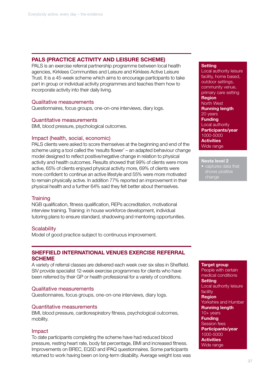## PALS (PRACTICE ACTIVITY AND LEISURE SCHEME)

PALS is an exercise referral partnership programme between local health agencies, Kirklees Communities and Leisure and Kirklees Active Leisure Trust. It is a 45-week scheme which aims to encourage participants to take part in group or individual activity programmes and teaches them how to incorporate activity into their daily living.

## Qualitative measurements

Questionnaires, focus groups, one-on-one interviews, diary logs.

## Quantitative measurements

BMI, blood pressure, psychological outcomes.

## Impact (health, social, economic)

PALS clients were asked to score themselves at the beginning and end of the scheme using a tool called the 'results flower' – an adapted behaviour change model designed to reflect positive/negative change in relation to physical activity and health outcomes. Results showed that 99% of clients were more active, 65% of clients enjoyed physical activity more, 69% of clients were more confident to continue an active lifestyle and 55% were more motivated to remain physically active. In addition 77% reported an improvement in their physical health and a further 64% said they felt better about themselves.

## **Training**

NGB qualification, fitness qualification, REPs accreditation, motivational interview training. Training: in house workforce development, individual tutoring plans to ensure standard, shadowing and mentoring opportunities.

## **Scalability**

Model of good practice subject to continuous improvement.

## SHEFFIELD INTERNATIONAL VENUES EXERCISE REFERRAL **SCHEME**

A variety of referral classes are delivered each week over six sites in Sheffield. SIV provide specialist 12-week exercise programmes for clients who have been referred by their GP or health professional for a variety of conditions.

## Qualitative measurements

Questionnaires, focus groups, one-on-one interviews, diary logs.

## Quantitative measurements

BMI, blood pressure, cardiorespiratory fitness, psychological outcomes, mobility.

## Impact

To date participants completing the scheme have had reduced blood pressure, resting heart rate, body fat percentage, BMI and increased fitness. Improvements on BREC, EQ5D and IPAQ questionnaires. Some participants returned to work having been on long-term disability. Average weight loss was

## **Setting**

Local authority leisure facility, home based, outdoor settings, community venue, primary care setting **Region** North West Running length 20 years **Funding** Local authority Participants/year 1000-5000 **Activities** Wide range

Nesta level 2 **Captures data that** 

shows positive change

Target group People with certain medical conditions **Setting** Local authority leisure facility **Region** Yorkshire and Humber Running length 10+ years Funding Session fees Participants/year 1000-5000 **Activities** Wide range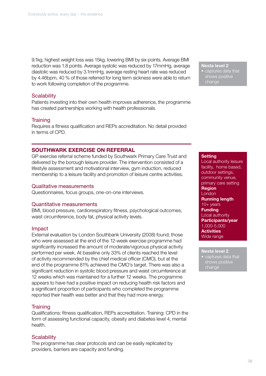9.1kg, highest weight loss was 15kg, lowering BMI by six points. Average BMI reduction was 1.8 points. Average systolic was reduced by 17mmHg, average diastolic was reduced by 3.1mmHg, average resting heart rate was reduced by 4.46bpm, 40 % of those referred for long term sickness were able to return to work following completion of the programme.

## **Scalability**

Patients investing into their own health improves adherence, the programme has created partnerships working with health professionals.

## **Training**

Requires a fitness qualification and REPs accreditation. No detail provided in terms of CPD.

## SOUTHWARK EXERCISE ON REFERRAL

GP exercise referral scheme funded by Southwark Primary Care Trust and delivered by the borough leisure provider. The intervention consisted of a lifestyle assessment and motivational interview, gym induction, reduced membership to a leisure facility and promotion of leisure centre activities.

### Qualitative measurements

Questionnaires, focus groups, one-on-one interviews.

## Quantitative measurements

BMI, blood pressure, cardiorespiratory fitness, psychological outcomes, waist circumference, body fat, physical activity levels.

#### Impact

External evaluation by London Southbank University (2008) found; those who were assessed at the end of the 12-week exercise programme had significantly increased the amount of moderate/vigorous physical activity performed per week. At baseline only 33% of clients reached the level of activity recommended by the chief medical officer (CMO), but at the end of the programme 81% achieved the CMO's target. There was also a significant reduction in systolic blood pressure and waist circumference at 12 weeks which was maintained for a further 12 weeks. The programme appears to have had a positive impact on reducing health risk factors and a significant proportion of participants who completed the programme reported their health was better and that they had more energy.

## **Training**

Qualifications: fitness qualification, REPs accreditation. Training: CPD in the form of assessing functional capacity, obesity and diabetes level 4, mental health.

## **Scalability**

The programme has clear protocols and can be easily replicated by providers, barriers are capacity and funding.

#### Nesta level 2

• captures data that shows positive change

#### **Setting**

Local authority leisure facility, home based, outdoor settings, community venue, primary care setting Region London Running length 10+ years **Funding** Local authority Participants/year 1,000-5,000 **Activities** Wide range

Nesta level 2 • captures data that shows positive

change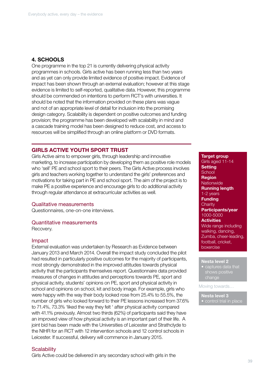## 4. SCHOOLS

One programme in the top 21 is currently delivering physical activity programmes in schools. Girls active has been running less than two years and as yet can only provide limited evidence of positive impact. Evidence of impact has been shown through an external evaluation; however at this stage evidence is limited to self-reported, qualitative data. However, this programme should be commended on intentions to perform RCT's with universities. It should be noted that the information provided on these plans was vague and not of an appropriate level of detail for inclusion into the promising design category. Scalability is dependent on positive outcomes and funding provision; the programme has been developed with scalability in mind and a cascade training model has been designed to reduce cost, and access to resources will be simplified through an online platform or DVD formats.

## GIRLS ACTIVE YOUTH SPORT TRUST

Girls Active aims to empower girls, through leadership and innovative marketing, to increase participation by developing them as positive role models who 'sell' PE and school sport to their peers. The Girls Active process involves girls and teachers working together to understand the girls' preferences and motivations for taking part in PE and school sport. The aim of the project is to make PE a positive experience and encourage girls to do additional activity through regular attendance at extracurricular activities as well.

## Qualitative measurements

Questionnaires, one-on-one interviews.

#### Quantitative measurements

Recovery.

## Impact

External evaluation was undertaken by Research as Evidence between January 2013 and March 2014. Overall the impact study concluded the pilot had resulted in particularly positive outcomes for the majority of participants, most strongly demonstrated in the improved attitudes towards physical activity that the participants themselves report. Questionnaire data provided measures of changes in attitudes and perceptions towards PE, sport and physical activity, students' opinions on PE, sport and physical activity in school and opinions on school, kit and body image. For example, girls who were happy with the way their body looked rose from 25.4% to 55.5%, the number of girls who looked forward to their PE lessons increased from 37.6% to 71.4%, 73.3% 'liked the way they felt ' after physical activity compared with 41.1% previously. Almost two thirds (62%) of participants said they have an improved view of how physical activity is an important part of their life. A joint bid has been made with the Universities of Leicester and Strathclyde to the NIHR for an RCT with 12 intervention schools and 12 control schools in Leicester. If successful, delivery will commence in January 2015.

## **Scalability** Girls Active could be delivered in any secondary school with girls in the

**Setting School** Region **Nationwide** Running length 1-2 years **Funding Charity** Participants/year 1000-5000 **Activities** Wide range including walking, dancing, Zumba, cheer-leading, football, cricket, boxercise

Target group Girls aged 11-14

#### Nesta level 2

• captures data that shows positive change

Moving towards…

## Nesta level 3

• control trial in place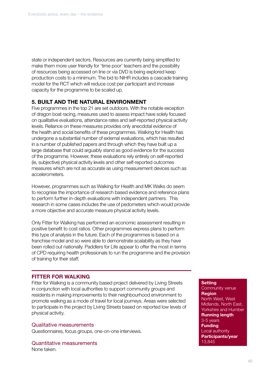state or independent sectors. Resources are currently being simplified to make them more user friendly for 'time poor' teachers and the possibility of resources being accessed on line or via DVD is being explored keep production costs to a minimum. The bid to NIHR includes a cascade training model for the RCT which will reduce cost per participant and increase capacity for the programme to be scaled up.

## 5. BUILT AND THE NATURAL ENVIRONMENT

Five programmes in the top 21 are set outdoors. With the notable exception of dragon boat racing, measures used to assess impact have solely focused on qualitative evaluations, attendance rates and self-reported physical activity levels. Reliance on these measures provides only anecdotal evidence of the health and social benefits of these programmes. Walking for Health has undergone a substantial number of external evaluations, which has resulted in a number of published papers and through which they have built up a large database that could arguably stand as good evidence for the success of the programme. However, these evaluations rely entirely on self-reported (ie, subjective) physical activity levels and other self-reported outcomes measures which are not as accurate as using measurement devices such as accelerometers.

However, programmes such as Walking for Health and MK Walks do seem to recognise the importance of research based evidence and reference plans to perform further in-depth evaluations with independent partners. This research in some cases includes the use of pedometers which would provide a more objective and accurate measure physical activity levels.

Only Fitter for Walking has performed an economic assessment resulting in positive benefit to cost ratios. Other programmes express plans to perform this type of analysis in the future. Each of the programmes is based on a franchise model and so were able to demonstrate scalability as they have been rolled out nationally. Paddlers for Life appear to offer the most in terms of CPD requiring health professionals to run the programme and the provision of training for their staff.

## FITTER FOR WALKING

Fitter for Walking is a community based project delivered by Living Streets in conjunction with local authorities to support community groups and residents in making improvements to their neighbourhood environment to promote walking as a mode of travel for local journeys. Areas were selected to participate in the project by Living Streets based on reported low levels of physical activity.

## Qualitative measurements

Questionnaires, focus groups, one-on-one interviews.

Quantitative measurements None taken.

## **Setting**

Community venue **Region** North West, West Midlands, North East, Yorkshire and Humber Running length 3-5 years Funding Local authority Participants/year 13,845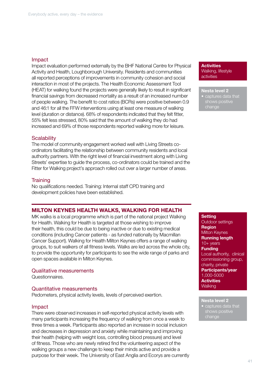## Impact

Impact evaluation performed externally by the BHF National Centre for Physical Activity and Health, Loughborough University. Residents and communities all reported perceptions of improvements in community cohesion and social interaction in most of the projects. The Health Economic Assessment Tool (HEAT) for walking found the projects were generally likely to result in significant financial savings from decreased mortality as a result of an increased number of people walking. The benefit to cost ratios (BCRs) were positive between 0.9 and 46:1 for all the FFW interventions using at least one measure of walking level (duration or distance). 68% of respondents indicated that they felt fitter, 55% felt less stressed, 80% said that the amount of walking they do had increased and 69% of those respondents reported walking more for leisure.

## **Scalability**

The model of community engagement worked well with Living Streets coordinators facilitating the relationship between community residents and local authority partners. With the right level of financial investment along with Living Streets' expertise to guide the process, co-ordinators could be trained and the Fitter for Walking project's approach rolled out over a larger number of areas.

## **Training**

No qualifications needed. Training: Internal staff CPD training and development policies have been established.

## MILTON KEYNES HEALTH WALKS, WALKING FOR HEALTH

MK walks is a local programme which is part of the national project Walking for Health. Walking for Health is targeted at those wishing to improve their health, this could be due to being inactive or due to existing medical conditions (including Cancer patients - as funded nationally by Macmillan Cancer Support). Walking for Health Milton Keynes offers a range of walking groups, to suit walkers of all fitness levels. Walks are led across the whole city, to provide the opportunity for participants to see the wide range of parks and open spaces available in Milton Keynes.

## Qualitative measurements

Questionnaires.

## Quantitative measurements

Pedometers, physical activity levels, levels of perceived exertion.

## Impact

There were observed increases in self-reported physical activity levels with many participants increasing the frequency of walking from once a week to three times a week. Participants also reported an increase in social inclusion and decreases in depression and anxiety while maintaining and improving their health (helping with weight loss, controlling blood pressure) and level of fitness. Those who are newly retired find the volunteering aspect of the walking groups a new challenge to keep their minds active and provide a purpose for their week. The University of East Anglia and Ecorys are currently **Activities** Walking, lifestyle activities

Nesta level 2 • captures data that shows positive change

**Setting** Outdoor settings Region Milton Keynes Running length 10+ years **Funding** Local authority, clinical commissioning group, charity, private Participants/year 1,000-5000 **Activities** 

**Walking** 

Nesta level 2

**captures** data that shows positive change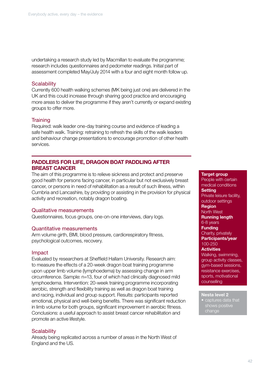undertaking a research study led by Macmillan to evaluate the programme; research includes questionnaires and pedometer readings. Initial part of assessment completed May/July 2014 with a four and eight month follow up.

## **Scalability**

Currently 600 health walking schemes (MK being just one) are delivered in the UK and this could increase through sharing good practice and encouraging more areas to deliver the programme if they aren't currently or expand existing groups to offer more.

## **Training**

Required: walk leader one-day training course and evidence of leading a safe health walk. Training: retraining to refresh the skills of the walk leaders and behaviour change presentations to encourage promotion of other health services.

## PADDLERS FOR LIFE, DRAGON BOAT PADDLING AFTER BREAST CANCER

The aim of this programme is to relieve sickness and protect and preserve good health for persons facing cancer, in particular but not exclusively breast cancer, or persons in need of rehabilitation as a result of such illness, within Cumbria and Lancashire, by providing or assisting in the provision for physical activity and recreation, notably dragon boating.

## Qualitative measurements

Questionnaires, focus groups, one-on-one interviews, diary logs.

## Quantitative measurements

Arm volume girth, BMI, blood pressure, cardiorespiratory fitness, psychological outcomes, recovery.

## Impact

Evaluated by researchers at Sheffield Hallam University. Research aim: to measure the effects of a 20-week dragon boat training programme upon upper limb volume (lymphoedema) by assessing change in arm circumference. Sample: n=13, four of which had clinically diagnosed mild lymphoedema. Intervention: 20-week training programme incorporating aerobic, strength and flexibility training as well as dragon boat training and racing, individual and group support. Results: participants reported emotional, physical and well-being benefits. There was significant reduction in limb volume for both groups, significant improvement in aerobic fitness. Conclusions: a useful approach to assist breast cancer rehabilitation and promote an active lifestyle.

## **Scalability**

Already being replicated across a number of areas in the North West of England and the US.

#### Target group

People with certain medical conditions **Setting** Private leisure facility, outdoor settings Region North West Running length 6-8 years **Funding** Charity, privately Participants/year 100-250 **Activities** Walking, swimming, group activity classes, gym-based sessions, resistance exercises, sports, motivational counselling

#### Nesta level 2

• captures data that change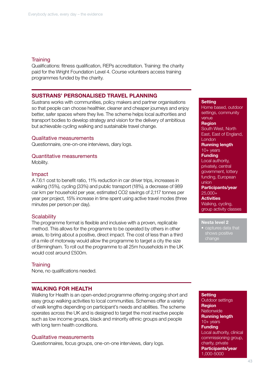## **Training**

Qualifications: fitness qualification, REPs accreditation. Training: the charity paid for the Wright Foundation Level 4. Course volunteers access training programmes funded by the charity.

## SUSTRANS' PERSONALISED TRAVEL PLANNING

Sustrans works with communities, policy makers and partner organisations so that people can choose healthier, cleaner and cheaper journeys and enjoy better, safer spaces where they live. The scheme helps local authorities and transport bodies to develop strategy and vision for the delivery of ambitious but achievable cycling walking and sustainable travel change.

## Qualitative measurements

Questionnaire, one-on-one interviews, diary logs.

## Quantitative measurements

Mobility.

## Impact

A 7.6:1 cost to benefit ratio, 11% reduction in car driver trips, increases in walking (15%), cycling (33%) and public transport (18%), a decrease of 989 car km per household per year, estimated CO2 savings of 2,117 tonnes per year per project, 15% increase in time spent using active travel modes (three minutes per person per day).

## **Scalability**

The programme format is flexible and inclusive with a proven, replicable method. This allows for the programme to be operated by others in other areas, to bring about a positive, direct impact. The cost of less than a third of a mile of motorway would allow the programme to target a city the size of Birmingham. To roll out the programme to all 25m households in the UK would cost around £500m.

## **Training**

None, no qualifications needed.

## WALKING FOR HEALTH

Walking for Health is an open-ended programme offering ongoing short and easy group walking activities to local communities. Schemes offer a variety of walk lengths depending on participant's needs and abilities. The scheme operates across the UK and is designed to target the most inactive people such as low income groups, black and minority ethnic groups and people with long term health conditions.

## Qualitative measurements

Questionnaires, focus groups, one-on-one interviews, diary logs.

**Setting** 

Home based, outdoor settings, community venue Region South West, North

East, East of England, **London** 

Running length 10+ years

## **Funding**

Local authority, privately, central government, lottery funding, European union Participants/year

25,000+

**Activities** 

Walking, cycling, group activity classes

#### Nesta level 2

• captures data that change

Outdoor settings **Region Nationwide** Running length 10+ years **Funding** Local authority, clinical commissioning group, charity, private Participants/year 1,000-5000

**Setting**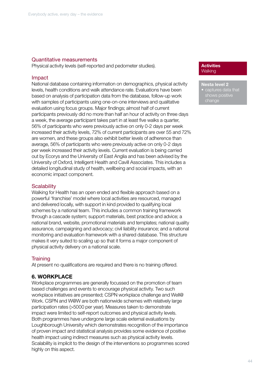## Quantitative measurements

Physical activity levels (self-reported and pedometer studies).

## Impact

National database containing information on demographics, physical activity levels, health conditions and walk attendance rate. Evaluations have been based on analysis of participation data from the database, follow-up work with samples of participants using one-on-one interviews and qualitative evaluation using focus groups. Major findings; almost half of current participants previously did no more than half an hour of activity on three days a week, the average participant takes part in at least five walks a quarter, 56% of participants who were previously active on only 0-2 days per week increased their activity levels, 72% of current participants are over 55 and 72% are women, and these groups also exhibit better levels of adherence than average, 56% of participants who were previously active on only 0-2 days per week increased their activity levels. Current evaluation is being carried out by Ecorys and the University of East Anglia and has been advised by the University of Oxford, Intelligent Health and Cavill Associates. This includes a detailed longitudinal study of health, wellbeing and social impacts, with an economic impact component.

## **Scalability**

Walking for Health has an open ended and flexible approach based on a powerful 'franchise' model where local activities are resourced, managed and delivered locally, with support in kind provided to qualifying local schemes by a national team. This includes a common training framework through a cascade system; support materials, best practice and advice; a national brand, website, promotional materials and templates; national quality assurance, campaigning and advocacy; civil liability insurance; and a national monitoring and evaluation framework with a shared database. This structure makes it very suited to scaling up so that it forms a major component of physical activity delivery on a national scale.

## **Training**

At present no qualifications are required and there is no training offered.

## 6. WORKPLACE

Workplace programmes are generally focussed on the promotion of team based challenges and events to encourage physical activity. Two such workplace initiatives are presented; CSPN workplace challenge and Well@ Work. CSPN and W@W are both nationwide schemes with relatively large participation rates (>5000 per year). Measures taken to demonstrate impact were limited to self-report outcomes and physical activity levels. Both programmes have undergone large scale external evaluations by Loughborough University which demonstrates recognition of the importance of proven impact and statistical analysis provides some evidence of positive health impact using indirect measures such as physical activity levels. Scalability is implicit to the design of the interventions so programmes scored highly on this aspect.

## **Activities Walking**

## Nesta level 2

captures data that change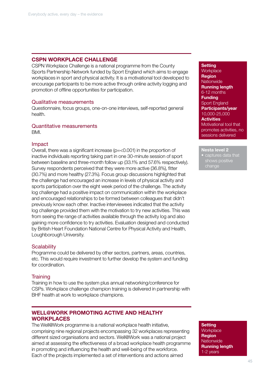## CSPN WORKPLACE CHALLENGE

CSPN Workplace Challenge is a national programme from the County Sports Partnership Network funded by Sport England which aims to engage workplaces in sport and physical activity. It is a motivational tool developed to encourage participants to be more active through online activity logging and promotion of offline opportunities for participation.

#### Qualitative measurements

Questionnaire, focus groups, one-on-one interviews, self-reported general health.

## Quantitative measurements

BMI.

## Impact

Overall, there was a significant increase (p=<0.001) in the proportion of inactive individuals reporting taking part in one 30-minute session of sport between baseline and three-month follow up (33.1% and 57.6% respectively). Survey respondents perceived that they were more active (36.8%), fitter (30.7%) and more healthy (27.3%). Focus group discussions highlighted that the challenge had encouraged an increase in levels of physical activity and sports participation over the eight week period of the challenge. The activity log challenge had a positive impact on communication within the workplace and encouraged relationships to be formed between colleagues that didn't previously know each other. Inactive interviewees indicated that the activity log challenge provided them with the motivation to try new activities. This was from seeing the range of activities available through the activity log and also gaining more confidence to try activities. Evaluation designed and conducted by British Heart Foundation National Centre for Physical Activity and Health, Loughborough University.

## **Scalability**

Programme could be delivered by other sectors, partners, areas, countries, etc. This would require investment to further develop the system and funding for coordination.

## **Training**

Training in how to use the system plus annual networking/conference for CSPs. Workplace challenge champion training is delivered in partnership with BHF health at work to workplace champions.

## WELL@WORK PROMOTING ACTIVE AND HEALTHY WORKPLACES

The Well@Work programme is a national workplace health initiative, comprising nine regional projects encompassing 32 workplaces representing different sized organisations and sectors. Well@Work was a national project aimed at assessing the effectiveness of a broad workplace health programme in promoting and influencing the health and well-being of the workforce. Each of the projects implemented a set of interventions and actions aimed

## **Setting**

**Workplace Region Nationwide** Running length 6-12 months Funding Sport England Participants/year 10,000-25,000 **Activities** Motivational tool that promotes activities, no sessions delivered

Nesta level 2 • captures data that change

**Setting Workplace Region Nationwide** Running length 1-2 years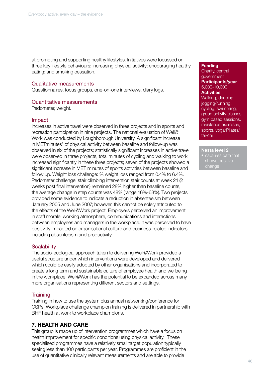at promoting and supporting healthy lifestyles. Initiatives were focussed on three key lifestyle behaviours: increasing physical activity; encouraging healthy eating; and smoking cessation.

## Qualitative measurements

Questionnaires, focus groups, one-on-one interviews, diary logs.

## Quantitative measurements

Pedometer, weight.

## Impact

Increases in active travel were observed in three projects and in sports and recreation participation in nine projects. The national evaluation of Well@ Work was conducted by Loughborough University. A significant increase in METminutes\* of physical activity between baseline and follow-up was observed in six of the projects; statistically significant increases in active travel were observed in three projects, total minutes of cycling and walking to work increased significantly in these three projects; seven of the projects showed a significant increase in MET minutes of sports activities between baseline and follow up. Weight loss challenge: % weight loss ranged from 0.4% to 6.4%. Pedometer challenge: stair climbing intervention stair counts at week 24 (2 weeks post final intervention) remained 28% higher than baseline counts, the average change in step counts was 48% (range 16%-63%). Two projects provided some evidence to indicate a reduction in absenteeism between January 2005 and June 2007; however, this cannot be solely attributed to the effects of the Well@Work project. Employers perceived an improvement in staff morale, working atmosphere, communications and interactions between employees and managers in the workplace. It was perceived to have positively impacted on organisational culture and business-related indicators including absenteeism and productivity.

## **Scalability**

The socio-ecological approach taken to delivering Well@Work provided a useful structure under which interventions were developed and delivered which could be easily adopted by other organisations and incorporated to create a long term and sustainable culture of employee health and wellbeing in the workplace. Well@Work has the potential to be expanded across many more organisations representing different sectors and settings.

## **Training**

Training in how to use the system plus annual networking/conference for CSPs. Workplace challenge champion training is delivered in partnership with BHF health at work to workplace champions.

## 7. HEALTH AND CARE

This group is made up of intervention programmes which have a focus on health improvement for specific conditions using physical activity. These specialised programmes have a relatively small target population typically seeing less than 100 participants per year. Programmes are proficient in the use of quantitative clinically relevant measurements and are able to provide

#### **Funding**

Charity, central government Participants/year 5,000-10,000 **Activities** 

Walking, dancing, jogging/running, cycling, swimming, group activity classes, gym based sessions, resistance exercises, sports, yoga/Pilates/ tai-chi

Nesta level 2

captures data that shows positive change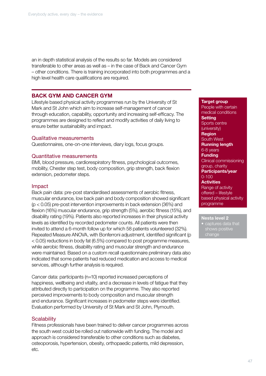an in depth statistical analysis of the results so far. Models are considered transferable to other areas as well as – in the case of Back and Cancer Gym – other conditions. There is training incorporated into both programmes and a high level health care qualifications are required.

## BACK GYM AND CANCER GYM

Lifestyle based physical activity programmes run by the University of St Mark and St John which aim to increase self-management of cancer through education, capability, opportunity and increasing self-efficacy. The programmes are designed to reflect and modify activities of daily living to ensure better sustainability and impact.

## Qualitative measurements

Questionnaires, one-on-one interviews, diary logs, focus groups.

## Quantitative measurements

BMI, blood pressure, cardiorespiratory fitness, psychological outcomes, mobility, Chester step test, body composition, grip strength, back flexion extension, pedometer steps.

## Impact

Back pain data: pre-post standardised assessments of aerobic fitness, muscular endurance, low back pain and body composition showed significant (p < 0.05) pre-post intervention improvements in back extension (36%) and flexion (16%) muscular endurance, grip strength (5%), aerobic fitness (15%), and disability rating (19%). Patients also reported increases in their physical activity levels as identified by recorded pedometer counts. All patients were then invited to attend a 6-month follow up for which 58 patients volunteered (32%). Repeated Measure ANOVA, with Bonferroni adjustment, identified significant (p < 0.05) reductions in body fat (6.5%) compared to post programme measures, while aerobic fitness, disability rating and muscular strength and endurance were maintained. Based on a custom recall questionnaire preliminary data also indicated that some patients had reduced medication and access to medical services, although further analysis is required.

Cancer data: participants (n=10) reported increased perceptions of happiness, wellbeing and vitality, and a decrease in levels of fatigue that they attributed directly to participation on the programme. They also reported perceived improvements to body composition and muscular strength and endurance. Significant increases in pedometer steps were identified. Evaluation performed by University of St Mark and St John, Plymouth.

## **Scalability**

Fitness professionals have been trained to deliver cancer programmes across the south west could be rolled out nationwide with funding. The model and approach is considered transferable to other conditions such as diabetes, osteoporosis, hypertension, obesity, orthopaedic patients, mild depression, etc.

Target group People with certain medical conditions **Setting** Sports centre (university) Region South West Running length 6-8 years **Funding** Clinical commissioning group, charity Participants/year 0-100 **Activities** Range of activity offered – lifestyle based physical activity programme

## Nesta level 2

• captures data that shows positive change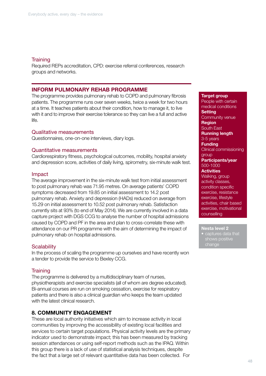## **Training**

Required REPs accreditation, CPD: exercise referral conferences, research groups and networks.

## INFORM PULMONARY REHAB PROGRAMME

The programme provides pulmonary rehab to COPD and pulmonary fibrosis patients. The programme runs over seven weeks, twice a week for two hours at a time. It teaches patients about their condition, how to manage it, to live with it and to improve their exercise tolerance so they can live a full and active life.

## Qualitative measurements

Questionnaires, one-on-one interviews, diary logs.

## Quantitative measurements

Cardiorespiratory fitness, psychological outcomes, mobility, hospital anxiety and depression score, activities of daily living, spirometry, six-minute walk test.

## Impact

The average improvement in the six-minute walk test from initial assessment to post pulmonary rehab was 71.95 metres. On average patients' COPD symptoms decreased from 19.85 on initial assessment to 14.2 post pulmonary rehab. Anxiety and depression (HADs) reduced on average from 15.29 on initial assessment to 10.52 post pulmonary rehab. Satisfaction currently sits at 93% (to end of May 2014). We are currently involved in a data capture project with DGS CCG to analyse the number of hospital admissions caused by COPD and PF in the area and plan to cross-correlate these with attendance on our PR programme with the aim of determining the impact of pulmonary rehab on hospital admissions.

## **Scalability**

In the process of scaling the programme up ourselves and have recently won a tender to provide the service to Bexley CCG.

## **Training**

The programme is delivered by a multidisciplinary team of nurses, physiotherapists and exercise specialists (all of whom are degree educated). Bi-annual courses are run on smoking cessation, exercise for respiratory patients and there is also a clinical guardian who keeps the team updated with the latest clinical research.

## 8. COMMUNITY ENGAGEMENT

These are local authority initiatives which aim to increase activity in local communities by improving the accessibility of existing local facilities and services to certain target populations. Physical activity levels are the primary indicator used to demonstrate impact; this has been measured by tracking session attendances or using self-report methods such as the IPAQ. Within this group there is a lack of use of statistical analysis techniques, despite the fact that a large set of relevant quantitative data has been collected. For

Target group People with certain medical conditions **Setting** Community venue Region South East Running length 3-5 years **Funding** Clinical commissioning group Participants/year 500-1000 **Activities** Walking, group activity classes, condition specific exercise, resistance exercise, lifestyle activities, chair based exercise, motivational counselling

Nesta level 2 • captures data that shows positive change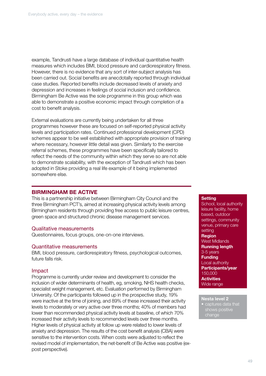example, Tandrusti have a large database of individual quantitative health measures which includes BMI, blood pressure and cardiorespiratory fitness. However, there is no evidence that any sort of inter-subject analysis has been carried out. Social benefits are anecdotally reported through individual case studies. Reported benefits include decreased levels of anxiety and depression and increases in feelings of social inclusion and confidence. Birmingham Be Active was the sole programme in this group which was able to demonstrate a positive economic impact through completion of a cost to benefit analysis.

External evaluations are currently being undertaken for all three programmes however these are focused on self-reported physical activity levels and participation rates. Continued professional development (CPD) schemes appear to be well established with appropriate provision of training where necessary, however little detail was given. Similarly to the exercise referral schemes, these programmes have been specifically tailored to reflect the needs of the community within which they serve so are not able to demonstrate scalability, with the exception of Tandrusti which has been adopted in Stoke providing a real life example of it being implemented somewhere else.

## BIRMINGHAM BE ACTIVE

This is a partnership initiative between Birmingham City Council and the three Birmingham PCT's, aimed at increasing physical activity levels among Birmingham residents through providing free access to public leisure centres, green space and structured chronic disease management services.

## Qualitative measurements

Questionnaires, focus groups, one-on-one interviews.

## Quantitative measurements

BMI, blood pressure, cardiorespiratory fitness, psychological outcomes, future falls risk.

## Impact

Programme is currently under review and development to consider the inclusion of wider determinants of health, eg, smoking, NHS health checks, specialist weight management, etc. Evaluation performed by Birmingham University. Of the participants followed up in the prospective study, 19% were inactive at the time of joining, and 89% of these increased their activity levels to moderately or very active over three months; 40% of members had lower than recommended physical activity levels at baseline, of which 70% increased their activity levels to recommended levels over three months. Higher levels of physical activity at follow up were related to lower levels of anxiety and depression. The results of the cost benefit analysis (CBA) were sensitive to the intervention costs. When costs were adjusted to reflect the revised model of implementation, the net-benefit of Be Active was positive (expost perspective).

#### **Setting**

School, local authority leisure facility, home based, outdoor settings, community venue, primary care setting Region West Midlands Running length 3-5 years Funding Local authority Participants/year 150,000 **Activities** Wide range

## Nesta level 2

• captures data that shows positive change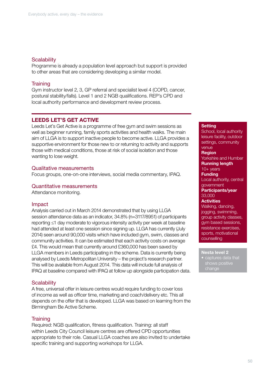## **Scalability**

Programme is already a population level approach but support is provided to other areas that are considering developing a similar model.

## **Training**

Gym instructor level 2, 3, GP referral and specialist level 4 (COPD, cancer, postural stability/falls). Level 1 and 2 NGB qualifications. REP's CPD and local authority performance and development review process.

## LEEDS LET'S GET ACTIVE

Leeds Let's Get Active is a programme of free gym and swim sessions as well as beginner running, family sports activities and health walks. The main aim of LLGA is to support inactive people to become active. LLGA provides a supportive environment for those new to or returning to activity and supports those with medical conditions, those at risk of social isolation and those wanting to lose weight.

## Qualitative measurements

Focus groups, one-on-one interviews, social media commentary, IPAQ.

### Quantitative measurements

Attendance monitoring.

#### Impact

Analysis carried out in March 2014 demonstrated that by using LLGA session attendance data as an indicator, 34.8% (n=3117/8951) of participants reporting ≤1 day moderate to vigorous intensity activity per week at baseline had attended at least one session since signing up. LLGA has currently (July 2014) seen around 90,000 visits which have included gym, swim, classes and community activities. It can be estimated that each activity costs on average £4. This would mean that currently around £360,000 has been saved by LLGA members in Leeds participating in the scheme. Data is currently being analysed by Leeds Metropolitan University – the project's research partner. This will be available from August 2014. This data will include full analysis of IPAQ at baseline compared with IPAQ at follow up alongside participation data.

### **Scalability**

A free, universal offer in leisure centres would require funding to cover loss of income as well as officer time, marketing and coach/delivery etc. This all depends on the offer that is developed. LLGA was based on learning from the Birmingham Be Active Scheme.

#### **Training**

Required: NGB qualification, fitness qualification. Training: all staff within Leeds City Council leisure centres are offered CPD opportunities appropriate to their role. Casual LLGA coaches are also invited to undertake specific training and supporting workshops for LLGA.

#### **Setting**

School, local authority leisure facility, outdoor settings, community venue Region Yorkshire and Humber Running length 10+ years **Funding** Local authority, central government Participants/year 33,000 **Activities** Walking, dancing, jogging, swimming, group activity classes, gym based sessions, resistance exercises, sports, motivational counselling

## Nesta level 2

aptures data that change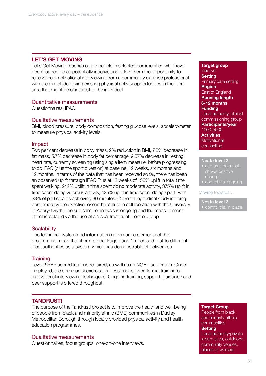## LET'S GET MOVING

Let's Get Moving reaches out to people in selected communities who have been flagged up as potentially inactive and offers them the opportunity to receive free motivational interviewing from a community exercise professional with the aim of identifying existing physical activity opportunities in the local area that might be of interest to the individual

## Quantitative measurements

Questionnaires, IPAQ.

## Qualitative measurements

BMI, blood pressure, body composition, fasting glucose levels, accelerometer to measure physical activity levels.

## Impact

Two per cent decrease in body mass, 2% reduction in BMI, 7.8% decrease in fat mass, 5.7% decrease in body fat percentage, 9.57% decrease in resting heart rate, currently screening using single item measure, before progressing to do IPAQ (plus the sport question) at baseline, 12 weeks, six months and 12 months. In terms of the data that has been received so far, there has been an observed uplift through IPAQ Plus at 12 weeks of 153% uplift in total time spent walking, 242% uplift in time spent doing moderate activity, 375% uplift in time spent doing vigorous activity, 425% uplift in time spent doing sport, with 23% of participants achieving 30 minutes. Current longitudinal study is being performed by the ukactive research institute in collaboration with the University of Aberystwyth. The sub sample analysis is ongoing and the measurement effect is isolated via the use of a 'usual treatment' control group.

## **Scalability**

The technical system and information governance elements of the programme mean that it can be packaged and 'franchised' out to different local authorities as a system which has demonstrable effectiveness.

## **Training**

Level 2 REP accreditation is required, as well as an NGB qualification. Once employed, the community exercise professional is given formal training on motivational interviewing techniques. Ongoing training, support, guidance and peer support is offered throughout.

## **TANDRUSTI**

The purpose of the Tandrusti project is to improve the health and well-being of people from black and minority ethnic (BME) communities in Dudley Metropolitan Borough through locally provided physical activity and health education programmes.

## Qualitative measurements

Questionnaires, focus groups, one-on-one interviews.

Target group Inactive **Setting** Primary care setting Region East of England Running length 6-12 months Funding Local authority, clinical commissioning group Participants/year 1000-5000 **Activities Motivational** counselling

#### Nesta level 2

- captures data that shows positive change
- **•** control trial ongoing

#### Moving towards…

Nesta level 3

• control trial in place

#### Target Group

People from black and minority ethnic communities **Setting** Local authority/private leisure sites, outdoors, community venues,

places of worship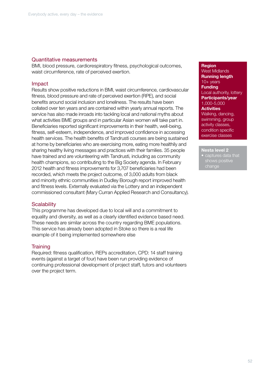## Quantitative measurements

BMI, blood pressure, cardiorespiratory fitness, psychological outcomes, waist circumference, rate of perceived exertion.

## Impact

Results show positive reductions in BMI, waist circumference, cardiovascular fitness, blood pressure and rate of perceived exertion (RPE), and social benefits around social inclusion and loneliness. The results have been collated over ten years and are contained within yearly annual reports. The service has also made inroads into tackling local and national myths about what activities BME groups and in particular Asian women will take part in. Beneficiaries reported significant improvements in their health, well-being, fitness, self-esteem, independence, and improved confidence in accessing health services. The health benefits of Tandrusti courses are being sustained at home by beneficiaries who are exercising more, eating more healthily and sharing healthy living messages and practices with their families. 35 people have trained and are volunteering with Tandrusti, including as community health champions, so contributing to the Big Society agenda. In February 2012 health and fitness improvements for 3,707 beneficiaries had been recorded, which meets the project outcome, of 3,000 adults from black and minority ethnic communities in Dudley Borough report improved health and fitness levels. Externally evaluated via the Lottery and an independent commissioned consultant (Mary Curran Applied Research and Consultancy).

## **Scalability**

This programme has developed due to local will and a commitment to equality and diversity, as well as a clearly identified evidence based need. These needs are similar across the country regarding BME populations. This service has already been adopted in Stoke so there is a real life example of it being implemented somewhere else

## **Training**

Required: fitness qualification, REPs accreditation, CPD: 14 staff training events (against a target of four) have been run providing evidence of continuing professional development of project staff, tutors and volunteers over the project term.

## **Region**

West Midlands Running length 10+ years **Funding** Local authority, lottery Participants/year 1,000-5,000 **Activities** Walking, dancing, swimming, group activity classes, condition specific exercise classes

Nesta level 2 captures data that shows positive change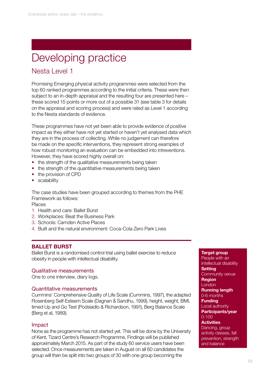# Developing practice

# Nesta Level 1

Promising Emerging physical activity programmes were selected from the top 60 ranked programmes according to the initial criteria. These were then subject to an in-depth appraisal and the resulting four are presented here – these scored 15 points or more out of a possible 31 (see table 3 for details on the appraisal and scoring process) and were rated as Level 1 according to the Nesta standards of evidence.

These programmes have not yet been able to provide evidence of positive impact as they either have not yet started or haven't yet analysed data which they are in the process of collecting. While no judgement can therefore be made on the specific interventions, they represent strong examples of how robust monitoring an evaluation can be embedded into intreventions. However, they have scored highly overall on:

- the strength of the qualitative measurements being taken
- the strength of the quantitative measurements being taken
- the provision of CPD
- scalability

The case studies have been grouped according to themes from the PHE Framework as follows:

Places

- 1. Health and care: Ballet Burst
- 2. Workplaces: Beat the Business Park
- 3. Schools: Camden Active Places
- 4. Built and the natural environment: Coca-Cola Zero Park Lives

## BALLET BURST

Ballet Burst is a randomised control trial using ballet exercise to reduce obesity in people with intellectual disability.

## Qualitative measurements

One to one interview, diary logs.

## Quantitative measurements

Cummins' Comprehensive Quality of Life Scale (Cummins, 1997), the adapted Rosenberg Self-Esteem Scale (Dagnan & Sandhu, 1999), height, weight, BMI, timed Up and Go Test (Podsiadlo & Richardson, 1991), Berg Balance Scale (Berg et al, 1989).

## Impact

None as the programme has not started yet. This will be done by the University of Kent, Tizard Centre's Research Programme. Findings will be published approximately March 2015. As part of the study 60 service users have been selected. Once measurements are taken in August on all 60 candidates the group will then be split into two groups of 30 with one group becoming the

#### Target group

People with an intellectual disability **Setting** Community venue **Region** London Running length 0-6 months **Funding** Local authority Participants/year 0-100 **Activities** Dancing, group activity classes, fall prevention, strength and balance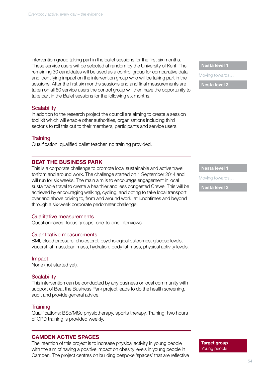intervention group taking part in the ballet sessions for the first six months. These service users will be selected at random by the University of Kent. The remaining 30 candidates will be used as a control group for comparative data and identifying impact on the intervention group who will be taking part in the sessions. After the first six months sessions end and final measurements are taken on all 60 service users the control group will then have the opportunity to take part in the Ballet sessions for the following six months.

## **Scalability**

In addition to the research project the council are aiming to create a session tool kit which will enable other authorities, organisations including third sector's to roll this out to their members, participants and service users.

## **Training**

Qualification: qualified ballet teacher, no training provided.

## BEAT THE BUSINESS PARK

This is a corporate challenge to promote local sustainable and active travel to/from and around work. The challenge started on 1 September 2014 and will run for six weeks. The main aim is to encourage engagement in local sustainable travel to create a healthier and less congested Crewe. This will be achieved by encouraging walking, cycling, and opting to take local transport over and above driving to, from and around work, at lunchtimes and beyond through a six-week corporate pedometer challenge.

## Qualitative measurements

Questionnaires, focus groups, one-to-one interviews.

## Quantitative measurements

BMI, blood pressure, cholesterol, psychological outcomes, glucose levels, visceral fat mass,lean mass, hydration, body fat mass, physical activity levels.

#### Impact

None (not started yet).

## **Scalability**

This intervention can be conducted by any business or local community with support of Beat the Business Park project leads to do the health screening, audit and provide general advice.

## **Training**

Qualifications: BSc/MSc physiotherapy, sports therapy. Training: two hours of CPD training is provided weekly.

## CAMDEN ACTIVE SPACES

The intention of this project is to increase physical activity in young people with the aim of having a positive impact on obesity levels in young people in Camden. The project centres on building bespoke 'spaces' that are reflective Nesta level 1

Moving towards…

Nesta level 3

Nesta level 1

Moving towards…

Nesta level 2

Target group Young people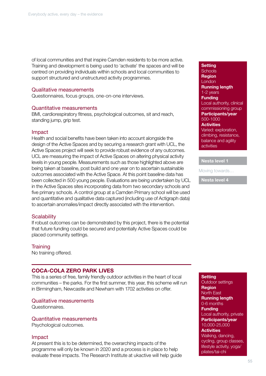of local communities and that inspire Camden residents to be more active. Training and development is being used to 'activate' the spaces and will be centred on providing individuals within schools and local communities to support structured and unstructured activity programmes.

## Qualitative measurements

Questionnaires, focus groups, one-on-one interviews.

#### Quantitative measurements

BMI, cardiorespiratory fitness, psychological outcomes, sit and reach, standing jump, grip test.

#### Impact

Health and social benefits have been taken into account alongside the design of the Active Spaces and by securing a research grant with UCL, the Active Spaces project will seek to provide robust evidence of any outcomes. UCL are measuring the impact of Active Spaces on altering physical activity levels in young people. Measurements such as those highlighted above are being taken at baseline, post build and one year on to ascertain sustainable outcomes associated with the Active Space. At this point baseline data has been collected in 500 young people. Evaluations are being undertaken by UCL in the Active Spaces sites incorporating data from two secondary schools and five primary schools. A control group at a Camden Primary school will be used and quantitative and qualitative data captured (including use of Actigraph data) to ascertain anomalies/impact directly associated with the intervention.

## **Scalability**

If robust outcomes can be demonstrated by this project, there is the potential that future funding could be secured and potentially Active Spaces could be placed community settings.

## **Training**

No training offered.

## COCA-COLA ZERO PARK LIVES

This is a series of free, family friendly outdoor activities in the heart of local communities – the parks. For the first summer, this year, this scheme will run in Birmingham, Newcastle and Newham with 1702 activities on offer.

#### Qualitative measurements

Questionnaires.

Quantitative measurements

Psychological outcomes.

#### Impact

At present this is to be determined, the overarching impacts of the programme will only be known in 2020 and a process is in place to help evaluate these impacts. The Research Institute at ukactive will help guide

#### **Setting**

**Schools Region London** Running length 1-2 years **Funding** Local authority, clinical commissioning group Participants/year 500-1000 **Activities** Varied: exploration, climbing, resistance, balance and agility activities

Nesta level 1

Moving towards…

Nesta level 4

#### **Setting** Outdoor settings

Region North East Running length 0-6 months **Funding** Local authority, private Participants/year 10,000-25,000 **Activities** Walking, dancing, cycling, group classes, lifestyle activity, yoga/ pilates/tai-chi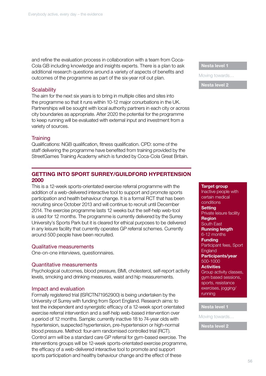and refine the evaluation process in collaboration with a team from Coca-Cola GB including knowledge and insights experts. There is a plan to ask additional research questions around a variety of aspects of benefits and outcomes of the programme as part of the six-year roll out plan.

## **Scalability**

The aim for the next six years is to bring in multiple cities and sites into the programme so that it runs within 10-12 major conurbations in the UK. Partnerships will be sought with local authority partners in each city or across city boundaries as appropriate. After 2020 the potential for the programme to keep running will be evaluated with external input and investment from a variety of sources.

## **Training**

Qualifications: NGB qualification, fitness qualification. CPD: some of the staff delivering the programme have benefited from training provided by the StreetGames Training Academy which is funded by Coca-Cola Great Britain.

## GETTING INTO SPORT SURREY/GUILDFORD HYPERTENSION 2000

This is a 12-week sports-orientated exercise referral programme with the addition of a web-delivered interactive tool to support and promote sports participation and health behaviour change. It is a formal RCT that has been recruiting since October 2013 and will continue to recruit until December 2014. The exercise programme lasts 12 weeks but the self-help web-tool is used for 12 months. The programme is currently delivered by the Surrey University's Sports Park but it is cleared for ethical purposes to be delivered in any leisure facility that currently operates GP referral schemes. Currently around 500 people have been recruited.

## Qualitative measurements

One-on-one interviews, questionnaires.

## Quantitative measurements

Psychological outcomes, blood pressure, BMI, cholesterol, self-report activity levels, smoking and drinking measures, waist and hip measurements.

## Impact and evaluation

Formally registered trial (ISRCTN71952900) is being undertaken by the University of Surrey with funding from Sport England. Research aims: to test the independent and synergistic efficacy of a 12-week sport orientated exercise referral intervention and a self-help web-based intervention over a period of 12 months. Sample: currently inactive 18 to 74-year olds with hypertension, suspected hypertension, pre-hypertension or high-normal blood pressure. Method: four-arm randomised controlled trial (RCT). Control arm will be a standard care GP referral for gym-based exercise. The interventions groups will be 12-week sports-orientated exercise programme, the efficacy of a web-delivered interactive tool to promote and support sports participation and healthy behaviour change and the effect of these

## Nesta level 1

Moving towards…

Nesta level 2

Target group Inactive people with certain medical conditions **Setting** Private leisure facility Region South East Running length 6-12 months **Funding** Participant fees, Sport **England** Participants/year 500-1000 **Activities** Group activity classes, gym based sessions, sports, resistance exercises, jogging/ running

## Nesta level 1

Moving towards…

Nesta level 2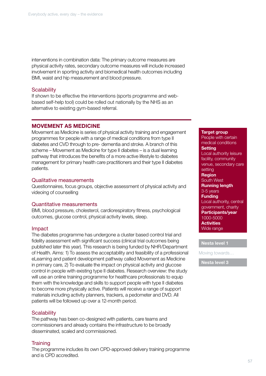interventions in combination data: The primary outcome measures are physical activity rates, secondary outcome measures will include increased involvement in sporting activity and biomedical health outcomes including BMI, waist and hip measurement and blood pressure.

## **Scalability**

If shown to be effective the interventions (sports programme and webbased self-help tool) could be rolled out nationally by the NHS as an alternative to existing gym-based referral.

## MOVEMENT AS MEDICINE

Movement as Medicine is series of physical activity training and engagement programmes for people with a range of medical conditions from type II diabetes and CVD through to pre- dementia and stroke. A branch of this scheme – Movement as Medicine for type II diabetes – is a dual learning pathway that introduces the benefits of a more active lifestyle to diabetes management for primary health care practitioners and their type II diabetes patients.

## Qualitative measurements

Questionnaires, focus groups, objective assessment of physical activity and videoing of counselling

## Quantitative measurements

BMI, blood pressure, cholesterol, cardiorespiratory fitness, psychological outcomes, glucose control, physical activity levels, sleep.

## Impact

The diabetes programme has undergone a cluster based control trial and fidelity assessment with significant success (clinical trial outcomes being published later this year). This research is being funded by NHR/Department of Health. Aims: 1) To assess the acceptability and feasibility of a professional eLearning and patient development pathway called Movement as Medicine in primary care, 2) To evaluate the impact on physical activity and glucose control in people with existing type II diabetes. Research overview: the study will use an online training programme for healthcare professionals to equip them with the knowledge and skills to support people with type II diabetes to become more physically active. Patients will receive a range of support materials including activity planners, trackers, a pedometer and DVD. All patients will be followed up over a 12-month period.

## **Scalability**

The pathway has been co-designed with patients, care teams and commissioners and already contains the infrastructure to be broadly disseminated, scaled and commissioned.

## **Training**

The programme includes its own CPD-approved delivery training programme and is CPD accredited.

#### Target group

People with certain medical conditions **Setting** Local authority leisure facility, community venue, secondary care setting Region South West Running length 3-5 years **Funding** Local authority, central government, charity Participants/year 1000-5000 **Activities** Wide range

## Nesta level 1

Moving towards…

Nesta level 3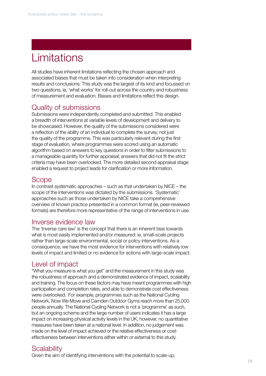# **Limitations**

All studies have inherent limitations reflecting the chosen approach and associated biases that must be taken into consideration when interpreting results and conclusions. This study was the largest of its kind and focussed on two questions, ie, 'what works' for roll-out across the country and robustness of measurement and evaluation. Biases and limitations reflect this design.

# Quality of submissions

Submissions were independently completed and submitted. This enabled a breadth of interventions at variable levels of development and delivery to be showcased. However, the quality of the submissions considered were a reflection of the ability of an individual to complete the survey, not just the quality of the programme. This was particularly relevant during the first stage of evaluation, where programmes were scored using an automatic algorithm based on answers to key questions in order to filter submissions to a manageable quantity for further appraisal; answers that did not fit the strict criteria may have been overlooked. The more detailed second appraisal stage enabled a request to project leads for clarification or more information.

# Scope

In contrast systematic approaches – such as that undertaken by NICE – the scope of the interventions was dictated by the submissions. 'Systematic' approaches such as those undertaken by NICE take a comprehensive overview of known practice presented in a common format (ie, peer-reviewed formats) are therefore more representative of the range of interventions in use.

# Inverse evidence law

The 'Inverse care law' is the concept that there is an inherent bias towards what is most easily implemented and/or measured: ie, small-scale projects rather than large-scale environmental, social or policy interventions. As a consequence, we have the most evidence for interventions with relatively low levels of impact and limited or no evidence for actions with large-scale impact.

# Level of impact

"What you measure is what you get" and the measurement in this study was the robustness of approach and a demonstrated evidence of impact, scalability and training. The focus on these factors may have meant programmes with high participation and completion rates, and able to demonstrate cost effectiveness were overlooked. For example, programmes such as the National Cycling Network, Now We Move and Camden Outdoor Gyms reach more than 25,000 people annually. The National Cycling Network is not a 'programme' as such, but an ongoing scheme and the large number of users indicates it has a large impact on increasing physical activity levels in the UK, however, no quantitative measures have been taken at a national level. In addition, no judgement was made on the level of impact achieved or the relative effectiveness or costeffectiveness between interventions either within or external to this study.

# **Scalability**

Given the aim of identifying interventions with the potential to scale-up,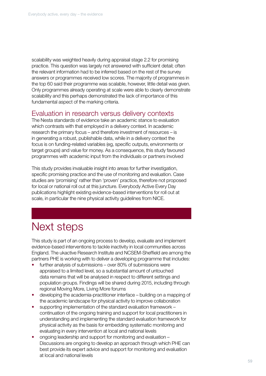scalability was weighted heavily during appraisal stage 2.2 for promising practice. This question was largely not answered with sufficient detail; often the relevant information had to be inferred based on the rest of the survey answers or programmes received low scores. The majority of programmes in the top 60 said their programme was scalable, however, little detail was given. Only programmes already operating at scale were able to clearly demonstrate scalability and this perhaps demonstrated the lack of importance of this fundamental aspect of the marking criteria.

## Evaluation in research versus delivery contexts

The Nesta standards of evidence take an academic stance to evaluation which contrasts with that employed in a delivery context. In academic research the primary focus – and therefore investment of resources – is in generating a robust, publishable data, while in a delivery context the focus is on funding-related variables (eg, specific outputs, environments or target groups) and value for money. As a consequence, this study favoured programmes with academic input from the individuals or partners involved

This study provides invaluable insight into areas for further investigation, specific promising practice and the use of monitoring and evaluation. Case studies are 'promising' rather than 'proven' practice, therefore not proposed for local or national roll out at this juncture. Everybody Active Every Day publications highlight existing evidence-based interventions for roll out at scale, in particular the nine physical activity guidelines from NICE.

# Next steps

•

This study is part of an ongoing process to develop, evaluate and implement evidence-based interventions to tackle inactivity in local communities across England. The ukactive Research Institute and NCSEM-Sheffield are among the partners PHE is working with to deliver a developing programme that includes:

- further analysis of submissions over 80% of submissions were appraised to a limited level, so a substantial amount of untouched data remains that will be analysed in respect to different settings and population groups. Findings will be shared during 2015, including through regional Moving More, Living More forums
- developing the academia-practitioner interface building on a mapping of the academic landscape for physical activity to improve collaboration
- supporting implementation of the standard evaluation framework continuation of the ongoing training and support for local practitioners in understanding and implementing the standard evaluation framework for physical activity as the basis for embedding systematic monitoring and evaluating in every intervention at local and national levels
- ongoing leadership and support for monitoring and evaluation Discussions are ongoing to develop an approach through which PHE can best provide its expert advice and support for monitoring and evaluation at local and national levels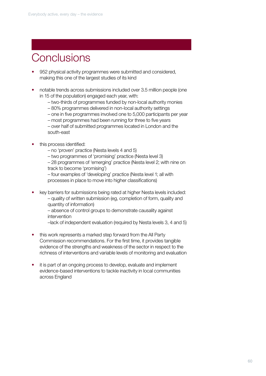# **Conclusions**

- 952 physical activity programmes were submitted and considered, making this one of the largest studies of its kind
- notable trends across submissions included over 3.5 million people (one in 15 of the population) engaged each year, with:
	- two-thirds of programmes funded by non-local authority monies
	- 80% programmes delivered in non-local authority settings
	- one in five programmes involved one to 5,000 participants per year
	- most programmes had been running for three to five years

– over half of submitted programmes located in London and the south-east

- this process identified:
	- no 'proven' practice (Nesta levels 4 and 5)
	- two programmes of 'promising' practice (Nesta level 3)

– 28 programmes of 'emerging' practice (Nesta level 2; with nine on track to become 'promising')

– four examples of 'developing' practice (Nesta level 1; all with processes in place to move into higher classifications)

- key barriers for submissions being rated at higher Nesta levels included:
	- quality of written submission (eg, completion of form, quality and quantity of information)

– absence of control groups to demonstrate causality against intervention

- –lack of independent evaluation (required by Nesta levels 3, 4 and 5)
- this work represents a marked step forward from the All Party Commission recommendations. For the first time, it provides tangible evidence of the strengths and weakness of the sector in respect to the richness of interventions and variable levels of monitoring and evaluation
- it is part of an ongoing process to develop, evaluate and implement evidence-based interventions to tackle inactivity in local communities across England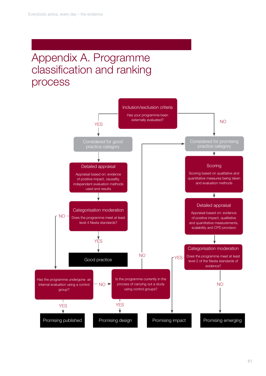# Appendix A. Programme classification and ranking process

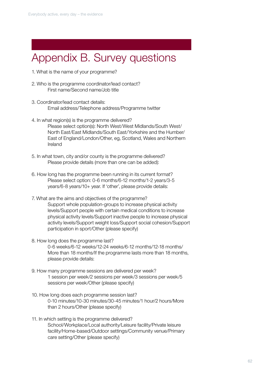# Appendix B. Survey questions

- 1. What is the name of your programme?
- 2. Who is the programme coordinator/lead contact? First name/Second name/Job title
- 3. Coordinator/lead contact details: Email address/Telephone address/Programme twitter
- 4. In what region(s) is the programme delivered? Please select option(s): North West/West Midlands/South West/ North East/East Midlands/South East/Yorkshire and the Humber/ East of England/London/Other, eg, Scotland, Wales and Northern Ireland
- 5. In what town, city and/or county is the programme delivered? Please provide details (more than one can be added):
- 6. How long has the programme been running in its current format? Please select option: 0-6 months/6-12 months/1-2 years/3-5 years/6-8 years/10+ year. If 'other', please provide details:
- 7. What are the aims and objectives of the programme? Support whole population-groups to increase physical activity levels/Support people with certain medical conditions to increase physical activity levels/Support inactive people to increase physical activity levels/Support weight loss/Support social cohesion/Support participation in sport/Other (please specify)
- 8. How long does the programme last? 0-6 weeks/6-12 weeks/12-24 weeks/6-12 months/12-18 months/ More than 18 months/If the programme lasts more than 18 months, please provide details:
- 9. How many programme sessions are delivered per week? 1 session per week/2 sessions per week/3 sessions per week/5 sessions per week/Other (please specify)
- 10. How long does each programme session last? 0-10 minutes/10-30 minutes/30-45 minutes/1 hour/2 hours/More than 2 hours/Other (please specify)
- 11. In which setting is the programme delivered? School/Workplace/Local authority/Leisure facility/Private leisure facility/Home-based/Outdoor settings/Community venue/Primary care setting/Other (please specify)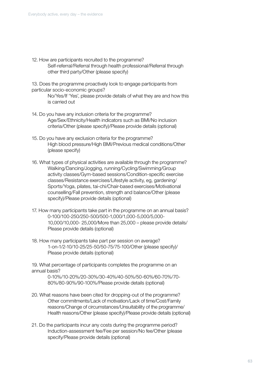12. How are participants recruited to the programme? Self-referral/Referral through health professional/Referral through other third party/Other (please specify)

13. Does the programme proactively look to engage participants from particular socio-economic groups?

> No/Yes/If 'Yes', please provide details of what they are and how this is carried out

- 14. Do you have any inclusion criteria for the programme? Age/Sex/Ethnicity/Health indicators such as BMI/No inclusion criteria/Other (please specify)/Please provide details (optional)
- 15. Do you have any exclusion criteria for the programme? High blood pressure/High BMI/Previous medical conditions/Other (please specify)
- 16. What types of physical activities are available through the programme? Walking/Dancing/Jogging, running/Cycling/Swimming/Group activity classes/Gym-based sessions/Condition-specific exercise classes/Resistance exercises/Lifestyle activity, eg, gardening/ Sports/Yoga, pilates, tai-chi/Chair-based exercises/Motivational counselling/Fall prevention, strength and balance/Other (please specify)/Please provide details (optional)
- 17. How many participants take part in the programme on an annual basis? 0-100/100-250/250-500/500-1,000/1,000-5,000/5,000- 10,000/10,000- 25,000/More than 25,000 – please provide details/ Please provide details (optional)
- 18. How many participants take part per session on average? 1-on-1/2-10/10-25/25-50/50-75/75-100/Other (please specify)/ Please provide details (optional)

19. What percentage of participants completes the programme on an annual basis?

> 0-10%/10-20%/20-30%/30-40%/40-50%/50-60%/60-70%/70- 80%/80-90%/90-100%/Please provide details (optional)

- 20. What reasons have been cited for dropping-out of the programme? Other commitments/Lack of motivation/Lack of time/Cost/Family reasons/Change of circumstances/Unsuitability of the programme/ Health reasons/Other (please specify)/Please provide details (optional)
- 21. Do the participants incur any costs during the programme period? Induction-assessment fee/Fee per session/No fee/Other (please specify/Please provide details (optional)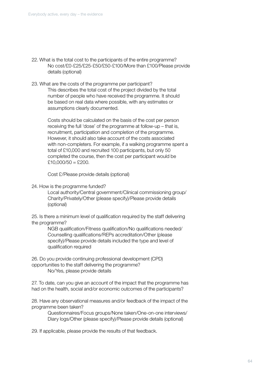- 22. What is the total cost to the participants of the entire programme? No cost/£0-£25/£25-£50/£50-£100/More than £100/Please provide details (optional)
- 23. What are the costs of the programme per participant? This describes the total cost of the project divided by the total number of people who have received the programme. It should be based on real data where possible, with any estimates or assumptions clearly documented.

Costs should be calculated on the basis of the cost per person receiving the full 'dose' of the programme at follow-up – that is, recruitment, participation and completion of the programme. However, it should also take account of the costs associated with non-completers. For example, if a walking programme spent a total of £10,000 and recruited 100 participants, but only 50 completed the course, then the cost per participant would be  $£10,000/50 = £200.$ 

Cost £/Please provide details (optional)

24. How is the programme funded?

Local authority/Central government/Clinical commissioning group/ Charity/Privately/Other (please specify)/Please provide details (optional)

25. Is there a minimum level of qualification required by the staff delivering the programme?

> NGB qualification/Fitness qualification/No qualifications needed/ Counselling qualifications/REPs accreditation/Other (please specify)/Please provide details included the type and level of qualification required

26. Do you provide continuing professional development (CPD) opportunities to the staff delivering the programme? No/Yes, please provide details

27. To date, can you give an account of the impact that the programme has had on the health, social and/or economic outcomes of the participants?

28. Have any observational measures and/or feedback of the impact of the programme been taken?

Questionnaires/Focus groups/None taken/One-on-one interviews/ Diary logs/Other (please specify)/Please provide details (optional)

29. If applicable, please provide the results of that feedback.